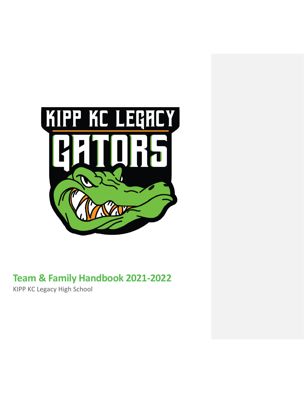

# **Team & Family Handbook 2021-2022**

KIPP KC Legacy High School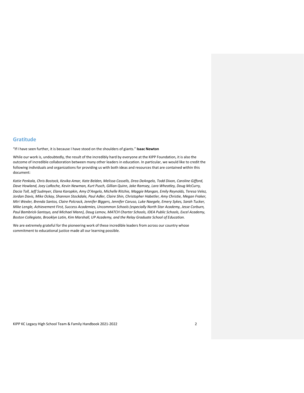## **Gratitude**

"If I have seen further, it is because I have stood on the shoulders of giants." **Isaac Newton**

While our work is, undoubtedly, the result of the incredibly hard by everyone at the KIPP Foundation, it is also the outcome of incredible collaboration between many other leaders in education. In particular, we would like to credit the following individuals and organizations for providing us with both ideas and resources that are contained within this document:

*Katie Penkala, Chris Bostock, Kevika Amar, Kate Belden, Melissa Cassells, Drea DeAngelo, Todd Dixon, Caroline Gifford, Dave Howland, Joey LaRoche, Kevin Newman, Kurt Pusch, Gillian Quinn, Jake Ramsey, Lara Wheatley, Doug McCurry, Dacia Toll, Jeff Sudmyer, Elana Karopkin, Amy D'Angelo, Michelle Ritchie, Maggie Mangan, Emily Reynolds, Teresa Velez, Jordan Davis, Mike Ockay, Shannon Stockdale, Paul Adler, Claire Shin, Christopher Habetler, Amy Christie, Megan Fraker, Miri Wexler, Brenda Santos, Claire Polcrack, Jennifer Biggers, Jennifer Caruso, Luke Naegele, Emery Sykes, Sarah Tucker, Mike Lengle, Achievement First, Success Academies, Uncommon Schools (especially North Star Academy, Jesse Corburn, Paul Bambrick-Santoyo, and Michael Mann), Doug Lemov, MATCH Charter Schools, IDEA Public Schools, Excel Academy, Boston Collegiate, Brooklyn Latin, Kim Marshall, UP Academy, and the Relay Graduate School of Education.*

We are extremely grateful for the pioneering work of these incredible leaders from across our country whose commitment to educational justice made all our learning possible.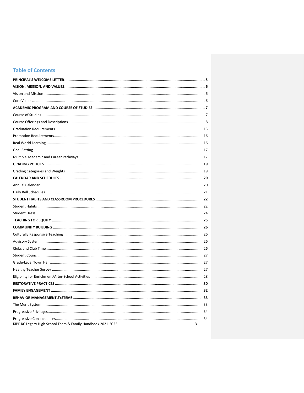## **Table of Contents**

| KIPP KC Legacy High School Team & Family Handbook 2021-2022 | 3 |
|-------------------------------------------------------------|---|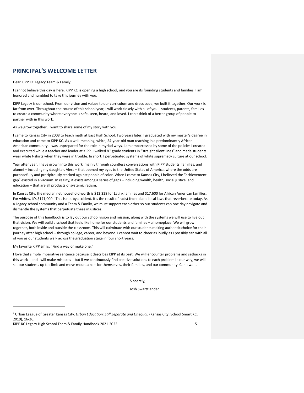## <span id="page-4-0"></span>**PRINCIPAL'S WELCOME LETTER**

Dear KIPP KC Legacy Team & Family,

I cannot believe this day is here. KIPP KC is opening a high school, and you are its founding students and families. I am honored and humbled to take this journey with you.

KIPP Legacy is our school. From our vision and values to our curriculum and dress code, we built it together. Our work is far from over. Throughout the course of this school year, I will work closely with all of you – students, parents, families – to create a community where everyone is safe, seen, heard, and loved. I can't think of a better group of people to partner with in this work.

As we grow together, I want to share some of my story with you.

I came to Kansas City in 2008 to teach math at East High School. Two years later, I graduated with my master's degree in education and came to KIPP KC. As a well-meaning, white, 24-year-old man teaching in a predominantly African American community, I was unprepared for the role in myriad ways. I am embarrassed by some of the policies I created and executed while a teacher and leader at KIPP. I walked 8<sup>th</sup> grade students in "straight silent lines" and made students wear white t-shirts when they were in trouble. In short, I perpetuated systems of white supremacy culture at our school.

Year after year, I have grown into this work, mainly through countless conversations with KIPP students, families, and alumni – including my daughter, Alera – that opened my eyes to the United States of America, where the odds are purposefully and precipitously stacked against people of color. When I came to Kansas City, I believed the "achievement gap" existed in a vacuum. In reality, it exists among a series of gaps – including wealth, health, social justice, and education – that are all products of systemic racism.

In Kansas City, the median net household worth is \$12,329 for Latinx families and \$17,600 for African American families. For whites, it's \$171,000.<sup>1</sup> This is not by accident. It's the result of racist federal and local laws that reverberate today. As a Legacy school community and a Team & Family, we must support each other so our students can one day navigate and dismantle the systems that perpetuate these injustices.

The purpose of this handbook is to lay out our school vision and mission, along with the systems we will use to live out that vision. We will build a school that feels like home for our students and families – a homeplace. We will grow together, both inside and outside the classroom. This will culminate with our students making authentic choice for their journey after high school – through college, career, and beyond. I cannot wait to cheer as loudly as I possibly can with all of you as our students walk across the graduation stage in four short years.

My favorite KIPPism is: "Find a way or make one."

I love that simple imperative sentence because it describes KIPP at its best. We will encounter problems and setbacks in this work – and I will make mistakes – but if we continuously find creative solutions to each problem in our way, we will set our students up to climb and move mountains – for themselves, their families, and our community. Can't wait.

Sincerely,

Josh Swartzlander

<sup>1</sup> Urban League of Greater Kansas City. *Urban Education: Still Separate and Unequal*, (Kansas City: School Smart KC, 2019), 16-26.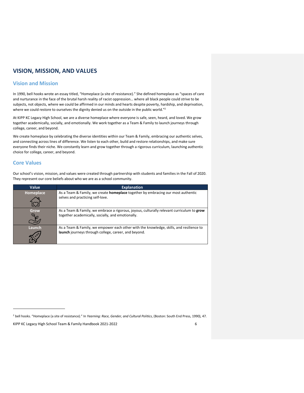## <span id="page-5-0"></span>**VISION, MISSION, AND VALUES**

## <span id="page-5-1"></span>**Vision and Mission**

In 1990, bell hooks wrote an essay titled, "Homeplace (a site of resistance)." She defined homeplace as "spaces of care and nurturance in the face of the brutal harsh reality of racist oppression… where all black people could strive to be subjects, not objects, where we could be affirmed in our minds and hearts despite poverty, hardship, and deprivation, where we could restore to ourselves the dignity denied us on the outside in the public world."<sup>2</sup>

At KIPP KC Legacy High School, we are a diverse homeplace where everyone is safe, seen, heard, and loved. We grow together academically, socially, and emotionally. We work together as a Team & Family to launch journeys through college, career, and beyond.

We create homeplace by celebrating the diverse identities within our Team & Family, embracing our authentic selves, and connecting across lines of difference. We listen to each other, build and restore relationships, and make sure everyone finds their niche. We constantly learn and grow together through a rigorous curriculum, launching authentic choice for college, career, and beyond.

## <span id="page-5-2"></span>**Core Values**

Our school's vision, mission, and values were created through partnership with students and families in the Fall of 2020. They represent our core beliefs about who we are as a school community.

| Value                  | <b>Explanation</b>                                                                                                                              |
|------------------------|-------------------------------------------------------------------------------------------------------------------------------------------------|
| Homeplace              | As a Team & Family, we create <b>homeplace</b> together by embracing our most authentic<br>selves and practicing self-love.                     |
| Grow                   | As a Team & Family, we embrace a rigorous, joyous, culturally relevant curriculum to grow<br>together academically, socially, and emotionally.  |
| Launch<br>$00^{\circ}$ | As a Team & Family, we empower each other with the knowledge, skills, and resilience to<br>launch journeys through college, career, and beyond. |

<sup>2</sup> bell hooks. "Homeplace (a site of resistance)." In *Yearning: Race, Gender, and Cultural Politics*, (Boston: South End Press, 1990), 47.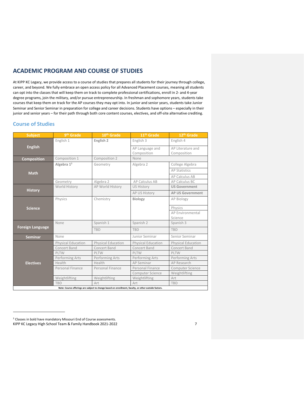## <span id="page-6-0"></span>**ACADEMIC PROGRAM AND COURSE OF STUDIES**

At KIPP KC Legacy, we provide access to a course of studies that prepares all students for their journey through college, career, and beyond. We fully embrace an open access policy for all Advanced Placement courses, meaning all students can opt into the classes that will keep them on track to complete professional certifications, enroll in 2- and 4-year degree programs, join the military, and/or pursue entrepreneurship. In freshman and sophomore years, students take courses that keep them on track for the AP courses they may opt into. In junior and senior years, students take Junior Seminar and Senior Seminar in preparation for college and career decisions. Students have options – especially in their junior and senior years – for their path through both core content courses, electives, and off-site alternative crediting.

## <span id="page-6-1"></span>**Course of Studies**

| <b>Subject</b>                                                                                       | 9 <sup>th</sup> Grade     | 10 <sup>th</sup> Grade    | 11 <sup>th</sup> Grade         | 12th Grade                       |  |  |
|------------------------------------------------------------------------------------------------------|---------------------------|---------------------------|--------------------------------|----------------------------------|--|--|
|                                                                                                      | English 1                 | English 2                 | English 3                      | English 4                        |  |  |
| <b>English</b>                                                                                       |                           |                           | AP Language and<br>Composition | AP Literature and<br>Composition |  |  |
| <b>Composition</b>                                                                                   | Composition 1             | Composition 2             | None                           |                                  |  |  |
|                                                                                                      | Algebra $1^3$             | Geometry                  | Algebra 2                      | College Algebra                  |  |  |
| <b>Math</b>                                                                                          |                           |                           |                                | <b>AP Statistics</b>             |  |  |
|                                                                                                      |                           |                           |                                | AP Calculus AB                   |  |  |
|                                                                                                      | Geometry                  | Algebra 2                 | AP Calculus AB                 | AP Calculus BC                   |  |  |
|                                                                                                      | World History             | AP World History          | <b>US History</b>              | <b>US Government</b>             |  |  |
| <b>History</b>                                                                                       |                           |                           | AP US History                  | <b>AP US Government</b>          |  |  |
|                                                                                                      | Physics                   | Chemistry                 | <b>Biology</b>                 | AP Biology                       |  |  |
| <b>Science</b>                                                                                       |                           |                           |                                | Physics                          |  |  |
|                                                                                                      |                           |                           |                                | AP Environmental                 |  |  |
|                                                                                                      |                           |                           |                                | Science                          |  |  |
|                                                                                                      | None                      | Spanish 1                 | Spanish 2                      | Spanish 3                        |  |  |
| <b>Foreign Language</b>                                                                              |                           | <b>TBD</b>                | <b>TBD</b>                     | <b>TBD</b>                       |  |  |
| <b>Seminar</b>                                                                                       | None                      |                           | Junior Seminar                 | Senior Seminar                   |  |  |
|                                                                                                      | <b>Physical Education</b> | <b>Physical Education</b> | <b>Physical Education</b>      | <b>Physical Education</b>        |  |  |
|                                                                                                      | Concert Band              | Concert Band              | Concert Band                   | Concert Band                     |  |  |
|                                                                                                      | PLTW                      | PLTW                      | PLTW                           | PLTW                             |  |  |
|                                                                                                      | Performing Arts           | Performing Arts           | Performing Arts                | Performing Arts                  |  |  |
| <b>Electives</b>                                                                                     | Health                    | Health                    | <b>AP Seminar</b>              | AP Research                      |  |  |
|                                                                                                      | Personal Finance          | Personal Finance          | Personal Finance               | <b>Computer Science</b>          |  |  |
|                                                                                                      |                           |                           | <b>Computer Science</b>        | Weightlifting                    |  |  |
|                                                                                                      | Weightlifting             | Weightlifting             | Weightlifting                  | Art                              |  |  |
|                                                                                                      | <b>TBD</b>                | Art                       | Art                            | <b>TBD</b>                       |  |  |
| Note: Course offerings are subject to change based on enrollment, faculty, or other outside factors. |                           |                           |                                |                                  |  |  |

KIPP KC Legacy High School Team & Family Handbook 2021-2022 7 <sup>3</sup> Classes in bold have mandatory Missouri End of Course assessments.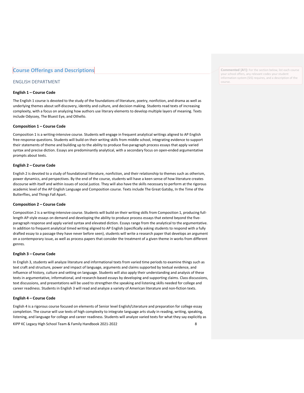## <span id="page-7-0"></span>**Course Offerings and Descriptions**

## ENGLISH DEPARTMENT

#### **English 1 – Course Code**

The [English 1](https://pre-ap.collegeboard.org/pdf/pre-ap-english-cg-wr.pdf) course is devoted to the study of the foundations of literature, poetry, nonfiction, and drama as well as underlying themes about self-discovery, identity and culture, and decision making. Students read texts of increasing complexity, with a focus on analyzing how authors use literary elements to develop multiple layers of meaning. Texts include Odyssey, The Bluest Eye, and Othello.

#### **Composition 1 – Course Code**

Composition 1 is a writing-intensive course. Students will engage in frequent analytical writings aligned to AP English free-response questions. Students will build on their writing skills from middle school, integrating evidence to support their statements of theme and building up to the ability to produce five-paragraph process essays that apply varied syntax and precise diction. Essays are predominantly analytical, with a secondary focus on open-ended argumentative prompts about texts.

#### **English 2 – Course Code**

English 2 is devoted to a study of foundational literature, nonfiction, and their relationship to themes such as otherism, power dynamics, and perspectives. By the end of the course, students will have a keen sense of how literature creates discourse with itself and within issues of social justice. They will also have the skills necessary to perform at the rigorous academic level of the AP English Language and Composition course. Texts include The Great Gatsby, In the Time of the Butterflies, and Things Fall Apart.

#### **Composition 2 – Course Code**

Composition 2 is a writing-intensive course. Students will build on their writing skills from Composition 1, producing fulllength AP-style essays on demand and developing the ability to produce process essays that extend beyond the fiveparagraph response and apply varied syntax and elevated diction. Essays range from the analytical to the argumentative. In addition to frequent analytical timed writing aligned to AP English (specifically asking students to respond with a fully drafted essay to a passage they have never before seen), students will write a research paper that develops an argument on a contemporary issue, as well as process papers that consider the treatment of a given theme in works from different genres.

#### **English 3 – Course Code**

In English 3, students will analyze literature and informational texts from varied time periods to examine things such as text craft and structure, power and impact of language, arguments and claims supported by textual evidence, and influence of history, culture and setting on language. Students will also apply their understanding and analysis of these texts in argumentative, informational, and research-based essays by developing and supporting claims. Class discussions, text discussions, and presentations will be used to strengthen the speaking and listening skills needed for college and career readiness. Students in English 3 will read and analyze a variety of American literature and non-fiction texts.

#### **English 4 – Course Code**

English 4 is a rigorous course focused on elements of Senior level English/Literature and preparation for college essay completion. The course will use texts of high complexity to integrate language arts study in reading, writing, speaking, listening, and language for college and career readiness. Students will analyze varied texts for what they say explicitly as

KIPP KC Legacy High School Team & Family Handbook 2021-2022 8

**Commented [A1]:** For the section below, list each course your school offers, any relevant codes your student information system (SIS) requires, and a description of the course.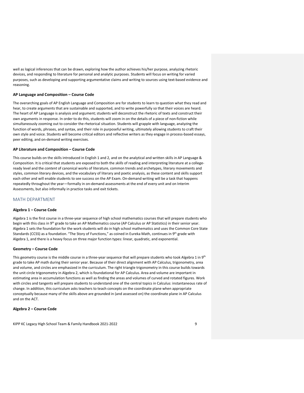well as logical inferences that can be drawn, exploring how the author achieves his/her purpose, analyzing rhetoric devices, and responding to literature for personal and analytic purposes. Students will focus on writing for varied purposes, such as developing and supporting argumentative claims and writing to sources using text-based evidence and reasoning.

#### **AP Language and Composition – Course Code**

The overarching goals of AP English Language and Composition are for students to learn to question what they read and hear, to create arguments that are sustainable and supported, and to write powerfully so that their voices are heard. The heart of AP Language is analysis and argument; students will deconstruct the rhetoric of texts and construct their own arguments in response. In order to do this, students will zoom in on the details of a piece of non-fiction while simultaneously zooming out to consider the rhetorical situation. Students will grapple with language, analyzing the function of words, phrases, and syntax, and their role in purposeful writing, ultimately allowing students to craft their own style and voice. Students will become critical editors and reflective writers as they engage in process-based essays, peer editing, and on-demand writing exercises.

#### **AP Literature and Composition – Course Code**

This course builds on the skills introduced in English 1 and 2, and on the analytical and written skills in AP Language & Composition. It is critical that students are exposed to both the *skills* of reading and interpreting literature at a collegeready level and the *content* of canonical works of literature, common trends and archetypes, literary movements and styles, common literary devices, and the vocabulary of literary and poetic analysis, as these content and skills support each other and will enable students to see success on the AP Exam. On-demand writing will be a task that happens repeatedly throughout the year—formally in on-demand assessments at the end of every unit and on Interim Assessments, but also informally in practice tasks and exit tickets.

#### MATH DEPARTMENT

#### **Algebra 1 – Course Code**

Algebra 1 is the first course in a three-year sequence of high school mathematics courses that will prepare students who begin with this class in 9<sup>th</sup> grade to take an AP Mathematics course (AP Calculus or AP Statistics) in their senior year. Algebra 1 sets the foundation for the work students will do in high school mathematics and uses the Common Core State Standards (CCSS) as a foundation. "The Story of Functions," as coined in Eureka Math, continues in 9<sup>th</sup> grade with Algebra 1, and there is a heavy focus on three major function types: linear, quadratic, and exponential.

#### **Geometry – Course Code**

This geometry course is the middle course in a three-year sequence that will prepare students who took Algebra 1 in 9<sup>th</sup> grade to take AP math during their senior year. Because of their direct alignment with AP Calculus, trigonometry, area and volume, and circles are emphasized in the curriculum. The right triangle trigonometry in this course builds towards the unit circle trigonometry in Algebra 2, which is foundational for AP Calculus. Area and volume are important in estimating area in accumulation functions as well as finding the areas and volumes of curved and rotated figures. Work with circles and tangents will prepare students to understand one of the central topics in Calculus: instantaneous rate of change. In addition, this curriculum asks teachers to teach concepts on the coordinate plane when appropriate conceptually because many of the skills above are grounded in (and assessed on) the coordinate plane in AP Calculus and on the ACT.

#### **Algebra 2 – Course Code**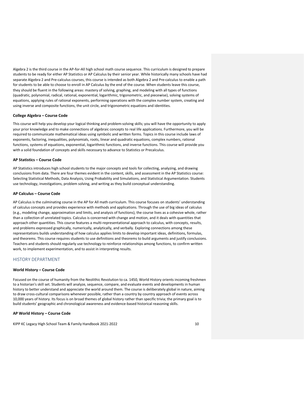Algebra 2 is the third course in the AP-for-All high school math course sequence. This curriculum is designed to prepare students to be ready for either AP Statistics or AP Calculus by their senior year. While historically many schools have had separate Algebra 2 and Pre-calculus courses, this course is intended as both Algebra 2 and Pre-calculus to enable a path for students to be able to choose to enroll in AP Calculus by the end of the course. When students leave this course, they should be fluent in the following areas: mastery of solving, graphing, and modeling with all types of functions (quadratic, polynomial, radical, rational, exponential, logarithmic, trigonometric, and piecewise), solving systems of equations, applying rules of rational exponents, performing operations with the complex number system, creating and using inverse and composite functions, the unit circle, and trigonometric equations and identities.

#### **College Algebra – Course Code**

This course will help you develop your logical thinking and problem-solving skills; you will have the opportunity to apply your prior knowledge and to make connections of algebraic concepts to real life applications. Furthermore, you will be required to communicate mathematical ideas using symbolic and written forms. Topics in this course include laws of exponents, factoring, inequalities, polynomials, roots, linear and quadratic equations, complex numbers, rational functions, systems of equations, exponential, logarithmic functions, and inverse functions. This course will provide you with a solid foundation of concepts and skills necessary to advance to Statistics or Precalculus.

#### **AP Statistics – Course Code**

AP Statistics introduces high school students to the major concepts and tools for collecting, analyzing, and drawing conclusions from data. There are four themes evident in the content, skills, and assessment in the AP Statistics course: Selecting Statistical Methods, Data Analysis, Using Probability and Simulations, and Statistical Argumentation. Students use technology, investigations, problem solving, and writing as they build conceptual understanding.

#### **AP Calculus – Course Code**

AP Calculus is the culminating course in the AP for All math curriculum. This course focuses on students' understanding of calculus concepts and provides experience with methods and applications. Through the use of big ideas of calculus (e.g., modeling change, approximation and limits, and analysis of functions), the course lives as a cohesive whole, rather than a collection of unrelated topics. Calculus is concerned with change and motion, and it deals with quantities that approach other quantities. This course features a multi-representational approach to calculus, with concepts, results, and problems expressed graphically, numerically, analytically, and verbally. Exploring connections among these representations builds understanding of how calculus applies limits to develop important ideas, definitions, formulas, and theorems. This course requires students to use definitions and theorems to build arguments and justify conclusions. Teachers and students should regularly use technology to reinforce relationships among functions, to confirm written work, to implement experimentation, and to assist in interpreting results.

#### HISTORY DEPARTMENT

#### **World History – Course Code**

Focused on the course of humanity from the Neolithic Revolution to ca. 1450, World History orients incoming freshmen to a historian's skill set. Students will analyze, sequence, compare, and evaluate events and developments in human history to better understand and appreciate the world around them. The course is deliberately global in nature, aiming to draw cross-cultural comparisons whenever possible, rather than a country by country approach of events across 10,000 years of history. Its focus is on broad themes of global history rather than specific trivia; the primary goal is to build students' geographic and chronological awareness and evidence-based historical reasoning skills.

#### **AP World History – Course Code**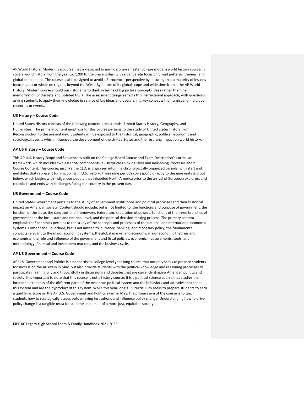AP World History: Modern is a course that is designed to mimic a one-semester college modern world history course. It covers world history from the year ca. 1200 to the present day, with a deliberate focus on broad patterns, themes, and global connections. The course is also designed to avoid a Eurocentric perspective by ensuring that a majority of lessons focus in part or whole on regions beyond the West. By nature of its global scope and wide time frame, the AP World History: Modern course should push students to think in terms of big picture concepts ideas rather than the memorization of discrete and isolated trivia. The assessment design reflects this instructional approach, with questions asking students to apply their knowledge in service of big ideas and overarching key concepts than transcend individual countries or events.

#### **US History – Course Code**

United States History consists of the following content area strands: United States History, Geography, and Humanities. The primary content emphasis for this course pertains to the study of United States history from Reconstruction to the present day. Students will be exposed to the historical, geographic, political, economic and sociological events which influenced the development of the United States and the resulting impact on world history.

#### **AP US History – Course Code**

This AP U.S. History Scope and Sequence is built on th[e College Board Course and Exam Description](https://apcentral.collegeboard.org/pdf/ap-us-history-course-and-exam-description.pdf?course=ap-united-states-history)'s curricular framework, which includes two essential components: a) Historical Thinking Skills and Reasoning Processes and b) Course Content. This course, just like the CED, is organized into nine chronologically organized periods, with start and end dates that represent turning points in U.S. history. These nine periods correspond directly to the nine units laid out below, which begins with indigenous people that inhabited North America prior to the arrival of European explorers and colonizers and ends with challenges facing the country in the present day.

#### **US Government – Course Code**

United States Government pertains to the study of government institutions and political processes and their historical impact on American society. Content should include, but is not limited to, the functions and purpose of government, the function of the state, the constitutional framework, federalism, separation of powers, functions of the three branches of government at the local, state and national level, and the political decision-making process. The primary content emphasis for Economics pertains to the study of the concepts and processes of the national and international economic systems. Content should include, but is not limited to, currency, banking, and monetary policy, the fundamental concepts relevant to the major economic systems, the global market and economy, major economic theories and economists, the role and influence of the government and fiscal policies, economic measurements, tools, and methodology, financial and investment markets, and the business cycle.

#### **AP US Government – Course Code**

AP U.S. Government and Politics is a nonpartisan, college-level year-long course that not only seeks to prepare students for success on the AP exam in May, but also provide students with the political knowledge and reasoning processes to participate meaningfully and thoughtfully in discussions and debates that are currently shaping American politics and society. It is important to note that this course is not a history course; it is a political science course that studies the interconnectedness of the different parts of the American political system and the behaviors and attitudes that shape this system and are the byproduct of this system. While this year-long KIPP curriculum seeks to prepare students to earn a qualifying score on the AP U.S. Government and Politics exam in May, the primary aim of the course is to teach students how to strategically access policymaking institutions and influence policy change. Understanding how to drive policy change is a tangible must for students in pursuit of a more just, equitable society.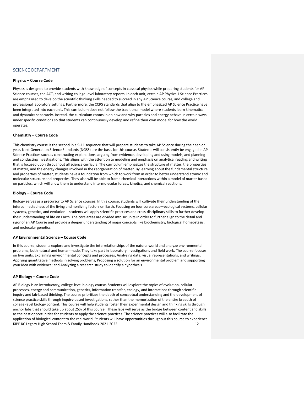### SCIENCE DEPARTMENT

#### **Physics – Course Code**

Physics is designed to provide students with knowledge of concepts in classical physics while preparing students for AP Science courses, the ACT, and writing college-level laboratory reports. In each unit, certain AP Physics 1 Science Practices are emphasized to develop the scientific thinking skills needed to succeed in any AP Science course, and college and professional laboratory settings. Furthermore, the CCRS standards that align to the emphasized AP Science Practice have been integrated into each unit. This curriculum does not follow the traditional model where students learn kinematics and dynamics separately. Instead, the curriculum zooms in on how and why particles and energy behave in certain ways under specific conditions so that students can continuously develop and refine their own model for how the world operates.

#### **Chemistry – Course Code**

This chemistry course is the second in a 9-11 sequence that will prepare students to take AP Science during their senior year. Next Generation Science Standards (NGSS) are the basis for this course. Students will consistently be engaged in [AP](https://apcentral.collegeboard.org/pdf/ap-chemistry-course-and-exam-description.pdf?course=ap-chemistry) Science [Practices](https://apcentral.collegeboard.org/pdf/ap-chemistry-course-and-exam-description.pdf?course=ap-chemistry) such as constructing explanations, arguing from evidence, developing and using models, and planning and conducting investigations. This aligns with the attention to modeling and emphasis on analytical reading and writing that is focused upon throughout all science curricula. The curriculum emphasizes the structure of matter, the properties of matter, and the energy changes involved in the reorganization of matter. By learning about the fundamental structure and properties of matter, students have a foundation from which to work from in order to better understand atomic and molecular structure and properties. They also will be able to frame chemical interactions within a model of matter based on particles, which will allow them to understand intermolecular forces, kinetics, and chemical reactions.

#### **Biology – Course Code**

Biology serves as a precursor to AP Science courses. In this course, students will cultivate their understanding of the interconnectedness of the living and nonliving factors on Earth. Focusing on four core areas—ecological systems, cellular systems, genetics, and evolution—students will apply scientific practices and cross-disciplinary skills to further develop their understanding of life on Earth. The core areas are divided into six units in order to further align to the detail and rigor of an AP Course and provide a deeper understanding of major concepts like biochemistry, biological homeostasis, and molecular genetics.

#### **AP Environmental Science – Course Code**

In this course, students explore and investigate the interrelationships of the natural world and analyze environmental problems, both natural and human-made. They take part in laboratory investigations and field work. The course focuses on five units: Explaining environmental concepts and processes; Analyzing data, visual representations, and writings; Applying quantitative methods in solving problems; Proposing a solution for an environmental problem and supporting your idea with evidence; and Analyzing a research study to identify a hypothesis.

#### **AP Biology – Course Code**

KIPP KC Legacy High School Team & Family Handbook 2021-2022 12 AP Biology is an introductory, college-level biology course. Students will explore the topics of evolution, cellular processes, energy and communication, genetics, information transfer, ecology, and interactions through scientific inquiry and lab-based thinking. The course prioritizes the depth of conceptual understanding and the development of science practice skills through inquiry-based investigations, rather than the memorization of the entire breadth of college-level biology content. This course will help students foster their experimental design and thinking skills through anchor labs that should take up about 25% of this course. These labs will serve as the bridge between content and skills as the best opportunities for students to apply the science practices. The science practices will also facilitate the application of biological content to the real world. Students will have opportunities throughout this course to experience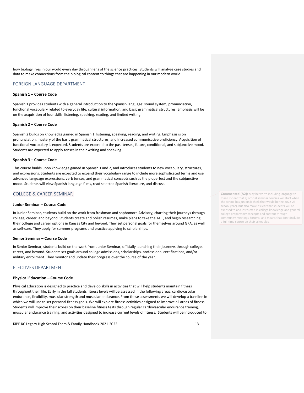how biology lives in our world every day through lens of the science practices. Students will analyze case studies and data to make connections from the biological content to things that are happening in our modern world.

### FOREIGN LANGUAGE DEPARTMENT

#### **Spanish 1 – Course Code**

Spanish 1 provides students with a general introduction to the Spanish language: sound system, pronunciation, functional vocabulary related to everyday life, cultural information, and basic grammatical structures. Emphasis will be on the acquisition of four skills: listening, speaking, reading, and limited writing.

#### **Spanish 2 – Course Code**

Spanish 2 builds on knowledge gained in Spanish 1: listening, speaking, reading, and writing. Emphasis is on pronunciation, mastery of the basic grammatical structures, and increased communicative proficiency. Acquisition of functional vocabulary is expected. Students are exposed to the past tenses, future, conditional, and subjunctive mood. Students are expected to apply tenses in their writing and speaking.

#### **Spanish 3 – Course Code**

This course builds upon knowledge gained in Spanish 1 and 2, and introduces students to new vocabulary, structures, and expressions. Students are expected to expand their vocabulary range to include more sophisticated terms and use advanced language expressions, verb tenses, and grammatical concepts such as the pluperfect and the subjunctive mood. Students will view Spanish language films, read selected Spanish literature, and discuss.

## COLLEGE & CAREER SEMINAR

#### **Junior Seminar – Course Code**

In Junior Seminar, students build on the work from freshman and sophomore Advisory, charting their journeys through college, career, and beyond. Students create and polish resumes, make plans to take the ACT, and begin researching their college and career options in Kansas City and beyond. They set personal goals for themselves around GPA, as well as self-care. They apply for summer programs and practice applying to scholarships.

#### **Senior Seminar – Course Code**

In Senior Seminar, students build on the work from Junior Seminar, officially launching their journeys through college, career, and beyond. Students set goals around college admissions, scholarships, professional certifications, and/or military enrollment. They monitor and update their progress over the course of the year.

### ELECTIVES DEPARTMENT

#### **Physical Education – Course Code**

Physical Education is designed to practice and develop skills in activities that will help students maintain fitness throughout their life. Early in the fall students fitness levels will be assessed in the following areas: cardiovascular endurance, flexibility, muscular strength and muscular endurance. From these assessments we will develop a baseline in which we will use to set personal fitness goals. We will explore fitness activities designed to improve all areas of fitness. Students will improve their scores on their baseline fitness tests through regular cardiovascular endurance training, muscular endurance training, and activities designed to increase current levels of fitness. Students will be introduced to

KIPP KC Legacy High School Team & Family Handbook 2021-2022 13

**Commented [A2]:** May be worth including language to make it clear that a) official seminar courses will start when the school has juniors (I think that would be the 2022-23 school year), but also make it clear that students will be exposed to and instructed in college knowledge and general college preparatory concepts and content through community meetings, forums, and means that don't include a full-time course on their schedules.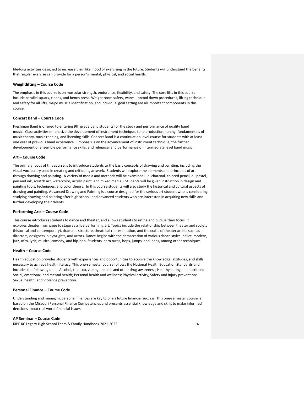life-long activities designed to increase their likelihood of exercising in the future. Students will understand the benefits that regular exercise can provide for a person's mental, physical, and social health.

#### **Weightlifting – Course Code**

The emphasis in this course is on muscular strength, endurance, flexibility, and safety. The core lifts in this course include parallel squats, cleans, and bench press. Weight room safety, warm-up/cool down procedures, lifting technique and safety for all lifts, major muscle identification, and individual goal setting are all important components in this course.

#### **Concert Band – Course Code**

Freshman Band is offered to entering 9th grade band students for the study and performance of quality band music. Class activities emphasize the development of instrument technique, tone production, tuning, fundamentals of music theory, music reading, and listening skills. Concert Band is a continuation level course for students with at least one year of previous band experience. Emphasis is on the advancement of instrument technique, the further development of ensemble performance skills, and rehearsal and performance of intermediate level band music.

#### **Art – Course Code**

The primary focus of this course is to introduce students to the basic concepts of drawing and painting, including the visual vocabulary used in creating and critiquing artwork. Students will explore the elements and principles of art through drawing and painting. A variety of media and methods will be examined (i.e. charcoal, colored pencil, oil pastel, pen and ink, scratch art, watercolor, acrylic paint, and mixed media.) Students will be given instruction in design and painting tools, techniques, and color theory. In this course students will also study the historical and cultural aspects of drawing and painting. Advanced Drawing and Painting is a course designed for the serious art student who is considering studying drawing and painting after high school, and advanced students who are interested in acquiring new skills and further developing their talents.

#### **Performing Arts – Course Code**

This course introduces students to dance and theater, and allows students to refine and pursue their focus. It explores theater from page to stage as a live performing art. Topics include the relationship between theater and society (historical and contemporary), dramatic structure, theatrical representation, and the crafts of theater artists such as directors, designers, playwrights, and actors. Dance begins with the demarcation of various dance styles: ballet, modern, jazz, Afro, lyric, musical comedy, and hip-hop. Students learn turns, hops, jumps, and leaps, among other techniques.

#### **Health – Course Code**

Health education provides students with experiences and opportunities to acquire the knowledge, attitudes, and skills necessary to achieve health literacy. This one-semester course follows the National Health Education Standards and includes the following units: Alcohol, tobacco, vaping, opioids and other drug awareness; Healthy eating and nutrition; Social, emotional, and mental health; Personal health and wellness; Physical activity; Safety and injury prevention; Sexual health; and Violence prevention.

#### **Personal Finance – Course Code**

Understanding and managing personal finances are key to one's future financial success. This one-semester course is based on the Missouri Personal Finance Competencies and presents essential knowledge and skills to make informed decisions about real world financial issues.

### **AP Seminar – Course Code**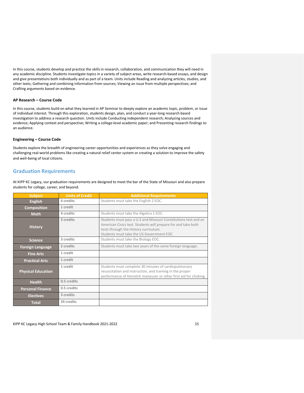In this course, students develop and practice the skills in research, collaboration, and communication they will need in any academic discipline. Students investigate topics in a variety of subject areas, write research-based essays, and design and give presentations both individually and as part of a team. Units include Reading and analyzing articles, studies, and other texts; Gathering and combining information from sources; Viewing an issue from multiple perspectives; and Crafting arguments based on evidence.

#### **AP Research – Course Code**

In this course, students build on what they learned in AP Seminar to deeply explore an academic topic, problem, or issue of individual interest. Through this exploration, students design, plan, and conduct a year-long research based investigation to address a research question. Units include Conducting independent research; Analyzing sources and evidence; Applying context and perspective; Writing a college-level academic paper; and Presenting research findings to an audience.

#### **Engineering – Course Code**

Students explore the breadth of engineering career opportunities and experiences as they solve engaging and challenging real-world problems like creating a natural relief center system or creating a solution to improve the safety and well-being of local citizens.

### <span id="page-14-0"></span>**Graduation Requirements**

At KIPP KC Legacy, our graduation requirements are designed to meet the bar of the State of Missouri and also prepare students for college, career, and beyond.

| <b>Subject</b>            | <b>Units of Credit</b> | <b>Additional Requirements</b>                                                                                                                                                                                         |  |  |
|---------------------------|------------------------|------------------------------------------------------------------------------------------------------------------------------------------------------------------------------------------------------------------------|--|--|
| <b>English</b>            | 4 credits              | Students must take the English 2 EOC.                                                                                                                                                                                  |  |  |
| <b>Composition</b>        | 1 credit               |                                                                                                                                                                                                                        |  |  |
| <b>Math</b>               | 4 credits              | Students must take the Algebra 1 EOC.                                                                                                                                                                                  |  |  |
| <b>History</b>            | 3 credits              | Students must pass a U.S and Missouri Constitutions test and an<br>American Civics test. Students will prepare for and take both<br>tests through the History curriculum.<br>Students must take the US Government EOC. |  |  |
| <b>Science</b>            | 3 credits              | Students must take the Biology EOC.                                                                                                                                                                                    |  |  |
| <b>Foreign Language</b>   | 2 credits              | Students must take two years of the same foreign language.                                                                                                                                                             |  |  |
| <b>Fine Arts</b>          | 1 credit               |                                                                                                                                                                                                                        |  |  |
| <b>Practical Arts</b>     | 1 credit               |                                                                                                                                                                                                                        |  |  |
| <b>Physical Education</b> | 1 credit               | Students must complete 30 minutes of cardiopulmonary<br>resuscitation and instruction, and training in the proper<br>performance of Heimlich maneuver or other first aid for choking.                                  |  |  |
| <b>Health</b>             | 0.5 credits            |                                                                                                                                                                                                                        |  |  |
| <b>Personal Finance</b>   | 0.5 credits            |                                                                                                                                                                                                                        |  |  |
| <b>Electives</b>          | 3 credits              |                                                                                                                                                                                                                        |  |  |
| <b>Total</b>              | 24 credits             |                                                                                                                                                                                                                        |  |  |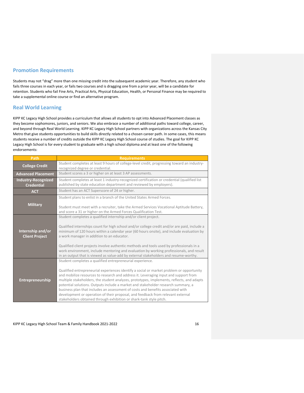## <span id="page-15-0"></span>**Promotion Requirements**

Students may not "drag" more than one missing credit into the subsequent academic year. Therefore, any student who fails three courses in each year, or fails two courses and is dragging one from a prior year, will be a candidate for retention. Students who fail Fine Arts, Practical Arts, Physical Education, Health, or Personal Finance may be required to take a supplemental online course or find an alternative program.

## <span id="page-15-1"></span>**Real World Learning**

KIPP KC Legacy High School provides a curriculum that allows all students to opt into Advanced Placement classes as they become sophomores, juniors, and seniors. We also embrace a number of additional paths toward college, career, and beyond through Real World Learning. KIPP KC Legacy High School partners with organizations across the Kansas City Metro that give students opportunities to build skills directly related to a chosen career path. In some cases, this means students receive a number of credits outside the KIPP KC Legacy High School course of studies. The goal for KIPP KC Legacy High School is for every student to graduate with a high school diploma and at least one of the following endorsements:

| Path                                            | <b>Requirements</b>                                                                                                                                                                                                                                                                                                                                                                                                                                                                                                                                                                                                                                                          |  |  |  |
|-------------------------------------------------|------------------------------------------------------------------------------------------------------------------------------------------------------------------------------------------------------------------------------------------------------------------------------------------------------------------------------------------------------------------------------------------------------------------------------------------------------------------------------------------------------------------------------------------------------------------------------------------------------------------------------------------------------------------------------|--|--|--|
| <b>College Credit</b>                           | Student completes at least 9 hours of college-level credit, progressing toward an industry-<br>recognized degree or credential.                                                                                                                                                                                                                                                                                                                                                                                                                                                                                                                                              |  |  |  |
| <b>Advanced Placement</b>                       | Student scores a 3 or higher on at least 3 AP assessments.                                                                                                                                                                                                                                                                                                                                                                                                                                                                                                                                                                                                                   |  |  |  |
| <b>Industry-Recognized</b><br><b>Credential</b> | Student completes at least 1 industry-recognized certification or credential (qualified list<br>published by state education department and reviewed by employers).                                                                                                                                                                                                                                                                                                                                                                                                                                                                                                          |  |  |  |
| <b>ACT</b>                                      | Student has an ACT Superscore of 24 or higher.                                                                                                                                                                                                                                                                                                                                                                                                                                                                                                                                                                                                                               |  |  |  |
| <b>Military</b>                                 | Student plans to enlist in a branch of the United States Armed Forces.<br>Student must meet with a recruiter, take the Armed Services Vocational Aptitude Battery,<br>and score a 31 or higher on the Armed Forces Qualification Test.                                                                                                                                                                                                                                                                                                                                                                                                                                       |  |  |  |
| Internship and/or<br><b>Client Project</b>      | Student completes a qualified internship and/or client project.<br>Qualified internships count for high school and/or college credit and/or are paid, include a<br>minimum of 120 hours within a calendar year (60 hours onsite), and include evaluation by<br>a work manager in addition to an educator.<br>Qualified client projects involve authentic methods and tools used by professionals in a<br>work environment, include mentoring and evaluation by working professionals, and result<br>in an output that is viewed as value-add by external stakeholders and resume-worthy.                                                                                     |  |  |  |
| Entrepreneurship                                | Student completes a qualified entrepreneurial experience.<br>Qualified entrepreneurial experiences identify a social or market problem or opportunity<br>and mobilize resources to research and address it. Leveraging input and support from<br>multiple stakeholders, the student analyzes, prototypes, implements, reflects, and adapts<br>potential solutions. Outputs include a market and stakeholder research summary, a<br>business plan that includes an assessment of costs and benefits associated with<br>development or operation of their proposal, and feedback from relevant external<br>stakeholders obtained through exhibition or shark-tank style pitch. |  |  |  |

KIPP KC Legacy High School Team & Family Handbook 2021-2022 16 16 16 17 18 18 19 19 19 19 19 19 19 19 19 19 19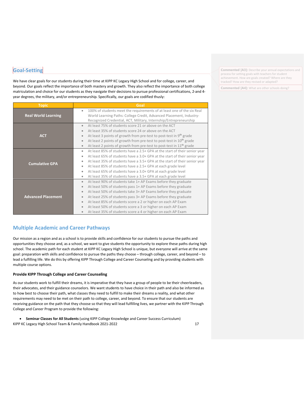## <span id="page-16-0"></span>**Goal-Setting**

We have clear goals for our students during their time at KIPP KC Legacy High School and for college, career, and beyond. Our goals reflect the importance of both mastery and growth. They also reflect the importance of both college matriculation and choice for our students as they navigate their decisions to pursue professional certifications, 2-and 4 year degrees, the military, and/or entrepreneurship. Specifically, our goals are codified thusly:

| <b>Topic</b>                                                                                                                                                                                                                                                                                                                                                                                                                                                                                                             | Goal                                                                                                                                                                                                                                                                                                                                                                                                                                                                                                                                                                                         |  |  |  |
|--------------------------------------------------------------------------------------------------------------------------------------------------------------------------------------------------------------------------------------------------------------------------------------------------------------------------------------------------------------------------------------------------------------------------------------------------------------------------------------------------------------------------|----------------------------------------------------------------------------------------------------------------------------------------------------------------------------------------------------------------------------------------------------------------------------------------------------------------------------------------------------------------------------------------------------------------------------------------------------------------------------------------------------------------------------------------------------------------------------------------------|--|--|--|
| 100% of students meet the requirements of at least one of the six Real<br>$\bullet$<br><b>Real World Learning</b><br>World Learning Paths: College Credit, Advanced Placement, Industry-<br>Recognized Credential, ACT, Military, Internship/Entrepreneurship                                                                                                                                                                                                                                                            |                                                                                                                                                                                                                                                                                                                                                                                                                                                                                                                                                                                              |  |  |  |
| <b>ACT</b>                                                                                                                                                                                                                                                                                                                                                                                                                                                                                                               | At least 75% of students score 21 or above on the ACT<br>$\bullet$<br>At least 35% of students score 24 or above on the ACT<br>At least 3 points of growth from pre-test to post-test in 9 <sup>th</sup> grade<br>$\qquad \qquad \bullet$<br>At least 2 points of growth from pre-test to post-test in 10 <sup>th</sup> grade<br>$\bullet$<br>At least 2 points of growth from pre-test to post-test in 11 <sup>th</sup> grade<br>$\bullet$                                                                                                                                                  |  |  |  |
| At least 85% of students have a 2.5+ GPA at the start of their senior year<br>$\bullet$<br>At least 65% of students have a 3.0+ GPA at the start of their senior year<br>$\bullet$<br>At least 35% of students have a 3.5+ GPA at the start of their senior year<br><b>Cumulative GPA</b><br>At least 85% of students have a 2.5+ GPA at each grade level<br>$\bullet$<br>At least 65% of students have a 3.0+ GPA at each grade level<br>$\bullet$<br>At least 35% of students have a 3.5+ GPA at each grade level<br>۰ |                                                                                                                                                                                                                                                                                                                                                                                                                                                                                                                                                                                              |  |  |  |
| <b>Advanced Placement</b>                                                                                                                                                                                                                                                                                                                                                                                                                                                                                                | At least 90% of students take 1+ AP Exams before they graduate<br>$\qquad \qquad \bullet$<br>At least 50% of students pass 1+ AP Exams before they graduate<br>$\bullet$<br>At least 50% of students take 3+ AP Exams before they graduate<br>$\qquad \qquad \bullet$<br>At least 25% of students pass 3+ AP Exams before they graduate<br>$\qquad \qquad \bullet$<br>At least 85% of students score a 2 or higher on each AP Exam<br>$\bullet$<br>At least 50% of students score a 3 or higher on each AP Exam<br>$\bullet$<br>At least 35% of students score a 4 or higher on each AP Exam |  |  |  |

## <span id="page-16-1"></span>**Multiple Academic and Career Pathways**

Our mission as a region and as a school is to provide skills and confidence for our students to pursue the paths and opportunities they choose and, as a school, we want to give students the opportunity to explore these paths during high school. The academic path for each student at KIPP KC Legacy High School is unique, but everyone will arrive at the same goal: preparation with skills and confidence to pursue the paths they choose – through college, career, and beyond – to lead a fulfilling life. We do this by offering KIPP Through College and Career Counseling and by providing students with multiple course options.

#### **Provide KIPP Through College and Career Counseling**

As our students work to fulfill their dreams, it is imperative that they have a group of people to be their cheerleaders, their advocates, and their guidance counselors. We want students to have choice in their path and also be informed as to how best to choose their path, what classes they need to fulfill to make their dreams a reality, and what other requirements may need to be met on their path to college, career, and beyond. To ensure that our students are receiving guidance on the path that they choose so that they will lead fulfilling lives, we partner with the KIPP Through College and Career Program to provide the following:

KIPP KC Legacy High School Team & Family Handbook 2021-2022 17 • **Seminar Classes for All Students** (using KIPP College Knowledge and Career Success Curriculum)

**Commented [A3]:** Describe your annual expectations and process for setting goals with teachers for student achievement. How are goals created? Where are they tracked? How are they revised or adapted?

**Commented [A4]:** What are other schools doing?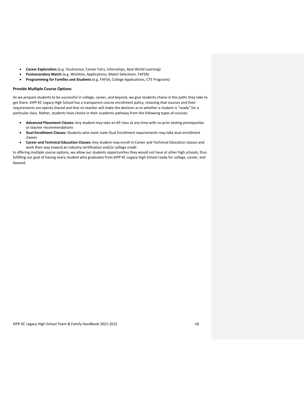- **Career Exploration** (e.g. YouScience, Career Fairs, Internships, Real World Learning)
- **Postsecondary Match** (e.g. Wishlists, Applications, Match Selections, FAFSA)
- **Programming for Families and Students** (e.g. FAFSA, College Applications, CTE Programs)

#### **Provide Multiple Course Options**

As we prepare students to be successful in college, career, and beyond, we give students choice in the paths they take to get there. KIPP KC Legacy High School has a transparent course enrollment policy, meaning that courses and their requirements are openly shared and that no teacher will make the decision as to whether a student is "ready" for a particular class. Rather, students have choice in their academic pathway from the following types of courses:

- **Advanced Placement Classes:** Any student may take an AP class at any time with no prior testing prerequisites or teacher recommendations
- **Dual Enrollment Classes:** Students who meet state Dual Enrollment requirements may take dual enrollment classes
- **Career and Technical Education Classes:** Any student may enroll in Career and Technical Education classes and work their way toward an industry certification and/or college credit

In offering multiple course options, we allow our students opportunities they would not have at other high schools, thus fulfilling our goal of having every student who graduates from KIPP KC Legacy High School ready for college, career, and beyond.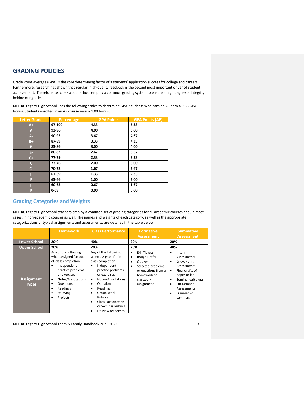## <span id="page-18-0"></span>**GRADING POLICIES**

Grade Point Average (GPA) is the core determining factor of a students' application success for college and careers. Furthermore, research has shown that regular, high-quality feedback is the second most important driver of student achievement. Therefore, teachers at our school employ a common grading system to ensure a high degree of integrity behind our grades.

KIPP KC Legacy High School uses the following scales to determine GPA. Students who earn an A+ earn a 0.33 GPA bonus. Students enrolled in an AP course earn a 1.00 bonus.

| <b>Letter Grade</b>  | Percentage | <b>GPA Points</b> | <b>GPA Points (AP)</b> |
|----------------------|------------|-------------------|------------------------|
| $A+$                 | 97-100     | 4.33              | 5.33                   |
| A                    | 93-96      | 4.00              | 5.00                   |
| A-                   | 90-92      | 3.67              | 4.67                   |
| $B+$                 | 87-89      | 3.33              | 4.33                   |
| B                    | 83-86      | 3.00              | 4.00                   |
| B-                   | 80-82      | 2.67              | 3.67                   |
| $C+$                 | 77-79      | 2.33              | 3.33                   |
| C                    | 73-76      | 2.00              | 3.00                   |
| $\mathsf{C}\text{-}$ | 70-72      | 1.67              | 2.67                   |
| F                    | 67-69      | 1.33              | 2.33                   |
| F                    | 63-66      | 1.00              | 2.00                   |
| F                    | 60-62      | 0.67              | 1.67                   |
| F                    | 0.59       | 0.00              | 0.00                   |

## <span id="page-18-1"></span>**Grading Categories and Weights**

KIPP KC Legacy High School teachers employ a common set of grading categories for all academic courses and, in most cases, in non-academic courses as well. The names and weights of each category, as well as the appropriate categorizations of typical assignments and assessments, are detailed in the table below.

|                                   | <b>Homework</b>                                                                                                                                                                                                           | <b>Class Performance</b>                                                                                                                                                                                                                                                                                                | <b>Formative</b>                                                                                                                                           | <b>Summative</b>                                                                                                                                                                        |
|-----------------------------------|---------------------------------------------------------------------------------------------------------------------------------------------------------------------------------------------------------------------------|-------------------------------------------------------------------------------------------------------------------------------------------------------------------------------------------------------------------------------------------------------------------------------------------------------------------------|------------------------------------------------------------------------------------------------------------------------------------------------------------|-----------------------------------------------------------------------------------------------------------------------------------------------------------------------------------------|
|                                   |                                                                                                                                                                                                                           |                                                                                                                                                                                                                                                                                                                         | <b>Assessment</b>                                                                                                                                          | <b>Assessment</b>                                                                                                                                                                       |
| <b>Lower School</b>               | 20%                                                                                                                                                                                                                       | 40%                                                                                                                                                                                                                                                                                                                     | 20%                                                                                                                                                        | 20%                                                                                                                                                                                     |
| <b>Upper School</b>               | 20%                                                                                                                                                                                                                       | 20%                                                                                                                                                                                                                                                                                                                     | 20%                                                                                                                                                        | 40%                                                                                                                                                                                     |
| <b>Assignment</b><br><b>Types</b> | Any of the following<br>when assigned for out-<br>of-class completion:<br>Independent<br>practice problems<br>or exercises<br>Notes/Annotations<br>٠<br>Questions<br>٠<br>Readings<br>٠<br>Studying<br>٠<br>Projects<br>٠ | Any of the following<br>when assigned for in-<br>class completion:<br>Independent<br>٠<br>practice problems<br>or exercises<br>Notes/Annotations<br>$\bullet$<br>Questions<br>٠<br>Readings<br>٠<br>Group Work<br>٠<br><b>Rubrics</b><br><b>Class Participation</b><br>٠<br>or Seminar Rubrics<br>Do Now responses<br>٠ | <b>Exit Tickets</b><br>٠<br><b>Rough Drafts</b><br>٠<br>Quizzes<br>Selected problems<br>٠<br>or questions from a<br>homework or<br>classwork<br>assignment | Interim<br>٠<br>Assessments<br>End-of-Unit<br>٠<br><b>Assessments</b><br>Final drafts of<br>٠<br>paper or lab<br>Seminar write-ups<br>On-Demand<br>Assessments<br>Summative<br>seminars |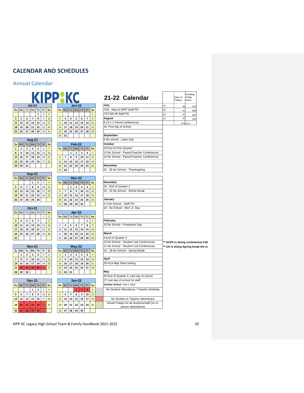## <span id="page-19-0"></span>**CALENDAR AND SCHEDULES**

## <span id="page-19-1"></span>**Annual Calendar**

|                                                                                               | KIPPAK                                                                                     | 21-22 Calendar                                                       |                | Days w/<br>Fridays | ncluding<br>Fridav<br>Hours       |
|-----------------------------------------------------------------------------------------------|--------------------------------------------------------------------------------------------|----------------------------------------------------------------------|----------------|--------------------|-----------------------------------|
| <b>Jul-21</b>                                                                                 | <b>Jan-22</b>                                                                              | July:                                                                | Q <sub>1</sub> | 39                 | 273                               |
| Tu We<br>Fr<br>Th<br>Sa<br>Su Mo                                                              | Tu   We   Th   Fr<br>Su Mo<br>Sa                                                           | 7/26 - New to KIPP Staff PD                                          | Q2             | 44                 | 308                               |
| $\overline{\mathbf{3}}$<br>$\mathbf 1$<br>$\overline{\mathbf{2}}$                             | $\mathbf 1$                                                                                | 7/27-8/6 All Staff PD                                                | Q <sub>3</sub> | 41                 | 287                               |
| $\bf8$<br>10<br>6<br>$\overline{\phantom{a}}$<br>9<br>5<br>$\overline{a}$                     | $\overline{7}$<br>$\bf 8$<br>$\overline{2}$<br>5<br>6<br>3<br>4                            | August                                                               | Q4             | 49                 | 343                               |
| ${\bf 15}$<br>17<br>${\bf 12}$<br>13<br>${\bf 14}$<br>16<br>${\bf 11}$                        | $12 \mid 13$<br>$\overline{9}$<br>10<br>${\bf 11}$<br>$14 \overline{\smash{\big)}\ 15}$    | 9-13 1:1 Parent conferences                                          |                |                    | 173 1211                          |
| 20<br>21<br>22<br>24<br>19<br>23<br>18                                                        | $19$ 20<br>${\bf 21}$<br>16<br>${\bf 17}$<br>18<br>22                                      | 16 First day of school                                               |                |                    |                                   |
| 27<br>28<br>29<br>31<br>$25 \,   \, 26$<br>30                                                 | $26$ 27<br>$28$ 29<br>23<br>24<br>25                                                       |                                                                      |                |                    |                                   |
|                                                                                               | 31<br>30                                                                                   | September                                                            |                |                    |                                   |
| <b>Aug-21</b>                                                                                 |                                                                                            | 6 No school - Labor Day                                              |                |                    |                                   |
| Tu $ We $ Th<br>Su Mo<br>Fr<br>Sa                                                             | Feb-22                                                                                     | October                                                              |                |                    |                                   |
| 5<br>6<br>$\overline{7}$<br>$\mathbf{1}$<br>$\overline{\mathbf{2}}$<br>4<br>3                 | Tu   We   Th<br>Fr<br>$Su$ Mo<br>Sa                                                        | 10 End of First Quarter                                              |                |                    |                                   |
| 10<br>${\bf 11}$<br>$12\,$<br>13<br>8<br>9<br>14                                              | $\mathbf{2}$<br>3<br>$\overline{\mathbf{4}}$<br>$\mathbf{1}$<br>5                          | 13 No School - Parent/Teacher Conferences                            |                |                    |                                   |
| 17<br>18<br>19<br>20<br>21<br>15<br>16                                                        | $\overline{\phantom{a}}$<br>8<br>9<br>10<br>11<br>12<br>$6\phantom{1}$                     | 14 No School - Parent/Teacher Conferences                            |                |                    |                                   |
| 28<br>23<br>24<br>25<br>26<br>27<br>22                                                        | $16 \mid 17$<br>13<br>14<br>15<br>18 19                                                    |                                                                      |                |                    |                                   |
| 31<br>29<br>30                                                                                | $23 \mid 24$<br>25<br>20<br>21<br>22<br>26                                                 | November                                                             |                |                    |                                   |
|                                                                                               | 27<br>28                                                                                   | 22 - 26 No School - Thanksgiving                                     |                |                    |                                   |
| <b>Sep-21</b>                                                                                 |                                                                                            |                                                                      |                |                    |                                   |
| Tu $ \mathsf{We} $ Th<br>Fr<br>Su Mo<br>Sa                                                    | <b>Mar-22</b>                                                                              |                                                                      |                |                    |                                   |
| $\overline{\mathbf{2}}$<br>$\overline{\mathbf{3}}$<br>$\overline{4}$<br>$\mathbf{1}$          | Su Mo<br>Tu   We   Th<br>Fr<br>Sa                                                          | December                                                             |                |                    |                                   |
| 8<br>9<br>11<br>$\overline{7}$<br>10<br>5<br>6                                                | $\mathbf{2}$<br>$\overline{\mathbf{3}}$<br>$\mathbf 1$<br>$\overline{4}$<br>$\overline{5}$ | 18 - End of Quarter 2                                                |                |                    |                                   |
| 18<br>13<br>14<br>15<br>16<br>17<br>12                                                        | 9 10<br>$11 \quad 12$<br>$6\overline{6}$<br>$\overline{\mathbf{z}}$<br>8                   | 23 - 31 No School - Winter Break                                     |                |                    |                                   |
| 23<br>25<br>20<br>21<br>22<br>24<br>19                                                        | $16$ 17<br>18 19<br>13<br>14<br>15                                                         |                                                                      |                |                    |                                   |
| 28<br>29<br>30<br>$26$ 27                                                                     | 20<br>$23 \mid 24$<br>$25$ $26$<br>21<br>22                                                | January                                                              |                |                    |                                   |
|                                                                                               | 28<br>29<br>30 31<br>27                                                                    | 3-4 No School - Staff PD                                             |                |                    |                                   |
| <b>Oct-21</b>                                                                                 |                                                                                            | 18 - No School - MLK Jr. Day                                         |                |                    |                                   |
| Tu   We   Th<br>Fr<br>Su Mo<br>Sa                                                             | Apr-22                                                                                     |                                                                      |                |                    |                                   |
| $\overline{2}$<br>$\mathbf 1$<br>$\overline{\mathbf{z}}$<br>$\overline{9}$                    | Tu   We   Th<br>$Fr$ Sa<br>Su Mo                                                           | February                                                             |                |                    |                                   |
| 5<br>6<br>3<br>4                                                                              | $\mathbf 1$<br>$\mathbf{2}$<br>5<br>6<br>$\overline{7}$<br>8<br>9<br>3<br>4                | 15 No School - Presidents Day                                        |                |                    |                                   |
|                                                                                               |                                                                                            |                                                                      |                |                    |                                   |
| $12\,$<br>13<br>14<br>16<br>11<br>15<br>10                                                    |                                                                                            |                                                                      |                |                    |                                   |
| $\mathbf{21}$<br>20<br>$22$<br>23<br>17<br>18<br>19                                           | 10 <sup>°</sup><br>11<br>${\bf 12}$<br>13 14<br>15<br>16                                   |                                                                      |                |                    |                                   |
| 28<br>25<br>26<br>27<br>29<br>30<br>24                                                        | 22<br>17<br>18<br>19<br>$20 \mid 21$<br>23                                                 | March                                                                |                |                    |                                   |
| 31                                                                                            | 25<br>$27$ 28<br>29 30<br>24<br>26                                                         | 4 End of Quarter 3                                                   |                |                    |                                   |
|                                                                                               |                                                                                            | 10 No School - Student Led Conferneces                               |                |                    | ** KCPS is doing conferences Feb  |
| <b>Nov-21</b>                                                                                 | <b>May-22</b>                                                                              | 11 No School - Student Led Conferences                               |                |                    | ** UA is doing Spring break the w |
| We<br>Th<br>Su Mo<br>Tu<br><b>Fr</b><br>Sa                                                    | Tu We Th<br>$Fr$ Sa<br>Su Mo                                                               | 14 - 18 No School - Spring Break                                     |                |                    |                                   |
| $\boldsymbol{6}$<br>3<br>$\pmb{4}$<br>5<br>${\bf 1}$<br>$\overline{2}$<br>$\overline{7}$<br>9 | $\mathbf 1$<br>$\mathbf{2}$<br>3<br>4<br>5<br>6<br>$\overline{7}$<br>$\bf{8}$<br>9         | April                                                                |                |                    |                                   |
| ${\bf 10}$<br>${\bf 11}$<br>12<br>8<br>13<br>17                                               | ${\bf 10}$<br>$11 \mid 12$<br>13 14<br>15<br>17<br>21<br>16                                | 26-5/14 Map State testing                                            |                |                    |                                   |
| 18<br>20<br>14<br>15<br>16<br>19<br>27<br>24<br>25<br>26<br>21<br>22<br>23                    | 18 19<br>20<br>$27$ 28<br>23<br>25 26 <br>22<br>24                                         |                                                                      |                |                    |                                   |
| 29<br>30<br>28                                                                                | 29<br>30<br>31                                                                             | May                                                                  |                |                    |                                   |
|                                                                                               |                                                                                            | 20 End of Quarter 4, Last day of school                              |                |                    |                                   |
| <b>Dec-21</b>                                                                                 | <b>Jun-22</b>                                                                              | 27 Last day of school for staff                                      |                |                    |                                   |
| Sa                                                                                            | $Fr$ Sa                                                                                    | Summer School: June 1-July2                                          |                |                    |                                   |
| Tu $ We $ Th<br>Su Mo<br>Fr                                                                   | $Tu$ We $Th$<br>Su Mo<br>$\mathbf{1}$                                                      | No Student Attendance / Teacher Workday                              |                |                    |                                   |
| $\mathbf 2$<br>$\overline{\mathbf{3}}$<br>$\overline{a}$<br>$\mathbf 1$                       | $\overline{2}$<br>$\overline{\mathbf{3}}$<br>$\overline{\mathbf{4}}$                       |                                                                      |                |                    |                                   |
| 9<br>$\overline{\phantom{a}}$<br>8<br>10<br>11<br>5<br>6                                      | $\overline{\mathbf{5}}$<br>6<br>$\overline{\phantom{a}}$<br>8<br>9<br>11<br>10             |                                                                      |                |                    |                                   |
| 15<br>16<br>17<br>13<br>14<br>18<br>12                                                        | 13<br>14<br>15<br>16<br>17<br>18<br>12                                                     | No Student or Teacher Attendnace                                     |                |                    |                                   |
| 25<br>19<br>20<br>21<br>22<br>23<br>24                                                        | 20<br>21<br>22<br>23<br>24<br>25<br>19                                                     | Virtual Fridays for all students/staff (no in-<br>person attendance) |                |                    |                                   |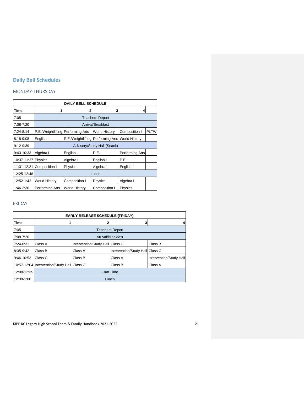## <span id="page-20-0"></span>**Daily Bell Schedules**

## MONDAY-THURSDAY

| <b>DAILY BELL SCHEDULE</b> |                      |                                    |                   |                      |             |  |
|----------------------------|----------------------|------------------------------------|-------------------|----------------------|-------------|--|
| Time                       |                      | 2                                  | 3                 | 4                    |             |  |
| 7:05                       |                      | <b>Teachers Report</b>             |                   |                      |             |  |
| 7:08-7:20                  |                      |                                    | Arrival/Breakfast |                      |             |  |
| 7:24-8:14                  | P.E./Weightlifting   | Performing Arts                    | World History     | Composition I        | <b>PLTW</b> |  |
| 8:18-9:08                  | English I            | P.E./Weightlifting Performing Arts |                   | <b>World History</b> |             |  |
| $9:12 - 9:39$              |                      | Advisory/Study Hall (Snack)        |                   |                      |             |  |
| 9:43-10:33                 | Algebra I            | English I                          | P.E.              | Performing Arts      |             |  |
| 10:37-11:27                | Physics              | Algebra I                          | English I         | P.E.                 |             |  |
| 11:31-12:21                | Composition I        | Physics                            | Algebra I         | English I            |             |  |
| 12:25-12:48                | Lunch                |                                    |                   |                      |             |  |
| 12:52-1:42                 | <b>World History</b> | Composition I                      | Physics           | Algebra I            |             |  |
| 1:46-2:36                  | Performing Arts      | <b>World History</b>               | Composition I     | Physics              |             |  |

## FRIDAY

| <b>EARLY RELEASE SCHEDULE (FRIDAY)</b> |                                             |                                 |                                 |                         |  |
|----------------------------------------|---------------------------------------------|---------------------------------|---------------------------------|-------------------------|--|
| Time                                   |                                             |                                 | 3                               |                         |  |
| 7:05                                   | <b>Teachers Report</b>                      |                                 |                                 |                         |  |
| 7:08-7:20                              | Arrival/Breakfast                           |                                 |                                 |                         |  |
| 7:24-8:31                              | Class A                                     | Intervention/Study Hall Class C |                                 | Class B                 |  |
| 8:35-9:42                              | Class B                                     | Class A                         | Intervention/Study Hall Class C |                         |  |
| 9:46-10:53                             | Class C                                     | Class B                         | Class A                         | Intervention/Study Hall |  |
|                                        | 10:57-12:04 Intervention/Study Hall Class C |                                 | Class B                         | Class A                 |  |
| 12:08-12:35                            | Club Time                                   |                                 |                                 |                         |  |
| 12:39-1:00                             | Lunch                                       |                                 |                                 |                         |  |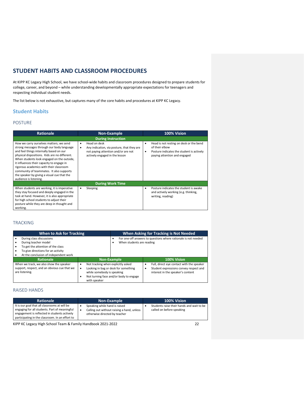## <span id="page-21-0"></span>**STUDENT HABITS AND CLASSROOM PROCEDURES**

At KIPP KC Legacy High School, we have school-wide habits and classroom procedures designed to prepare students for college, career, and beyond – while understanding developmentally appropriate expectations for teenagers and respecting individual student needs.

The list below is not exhaustive, but captures many of the core habits and procedures at KIPP KC Legacy.

## <span id="page-21-1"></span>**Student Habits**

## POSTURE

| <b>Rationale</b>                                                                                                                                                                                                                                                                                                                                                                                                                            | Non-Example                                                                                                                                   | 100% Vision                                                                                                                                      |  |  |
|---------------------------------------------------------------------------------------------------------------------------------------------------------------------------------------------------------------------------------------------------------------------------------------------------------------------------------------------------------------------------------------------------------------------------------------------|-----------------------------------------------------------------------------------------------------------------------------------------------|--------------------------------------------------------------------------------------------------------------------------------------------------|--|--|
| <b>During Instruction</b>                                                                                                                                                                                                                                                                                                                                                                                                                   |                                                                                                                                               |                                                                                                                                                  |  |  |
| How we carry ourselves matters; we send<br>strong messages through our body language<br>and feel things internally based on our<br>physical dispositions. Kids are no different.<br>When students look engaged on the outside,<br>it influences their capacity to engage in<br>rigorous academics with their classroom<br>community of teammates. It also supports<br>the speaker by giving a visual cue that the<br>audience is listening. | Head on desk<br>٠<br>Any indication, via posture, that they are<br>٠<br>not paying attention and/or are not<br>actively engaged in the lesson | Head is not resting on desk or the bend<br>٠<br>of their elbow<br>Posture indicates the student is actively<br>٠<br>paying attention and engaged |  |  |
|                                                                                                                                                                                                                                                                                                                                                                                                                                             | <b>During Work Time</b>                                                                                                                       |                                                                                                                                                  |  |  |
| When students are working, it is imperative<br>they stay focused and deeply engaged in the<br>task at hand. However, it is also appropriate<br>for high school students to adjust their<br>posture while they are deep in thought and<br>working.                                                                                                                                                                                           | Sleeping<br>٠                                                                                                                                 | Posture indicates the student is awake<br>٠<br>and actively working (e.g. thinking,<br>writing, reading)                                         |  |  |

### TRACKING

| <b>When to Ask for Tracking</b>                                |                                                      | When Asking for Tracking is Not Needed                                         |                                                                                  |
|----------------------------------------------------------------|------------------------------------------------------|--------------------------------------------------------------------------------|----------------------------------------------------------------------------------|
| During class discussions                                       |                                                      | For one-off answers to questions where rationale is not needed                 |                                                                                  |
| During teacher model<br>٠                                      |                                                      | When students are reading                                                      |                                                                                  |
| To get the attention of the class<br>٠                         |                                                      |                                                                                |                                                                                  |
| To give directions for an activity<br>٠                        |                                                      |                                                                                |                                                                                  |
| At the conclusion of independent work<br>٠                     |                                                      |                                                                                |                                                                                  |
| <b>Rationale</b>                                               |                                                      | Non-Example                                                                    | 100% Vision                                                                      |
| When we track, we also show the speaker                        | Not tracking when explicitly asked<br>٠              |                                                                                | Full, direct eye contact with the speaker<br>٠                                   |
| support, respect, and an obvious cue that we<br>are listening. | ٠<br>while somebody is speaking<br>٠<br>with speaker | Looking in bag or desk for something<br>Not turning face and/or body to engage | Student expressions convey respect and<br>٠<br>interest in the speaker's content |

## RAISED HANDS

| <b>Rationale</b>                                                                                                                                                                                  | Non-Example                                                                                                  | 100% Vision                                                            |
|---------------------------------------------------------------------------------------------------------------------------------------------------------------------------------------------------|--------------------------------------------------------------------------------------------------------------|------------------------------------------------------------------------|
| It is our goal that all classrooms at will be<br>engaging for all students. Part of meaningful<br>engagement is reflected in students actively<br>participating in the classroom. In an effort to | Speaking while hand is raised<br>Calling out without raising a hand, unless<br>otherwise directed by teacher | Students raise their hands and wait to be<br>called on before speaking |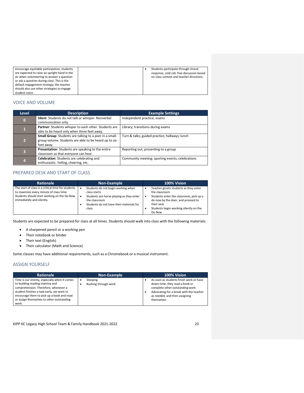| encourage equitable participation, students  |  | Students participate through choral        |
|----------------------------------------------|--|--------------------------------------------|
| are expected to raise an upright hand in the |  | response, cold call, free discussion based |
| air when volunteering to answer a question   |  | on class context and teacher directions    |
| or ask a question during class. This is the  |  |                                            |
| default engagement strategy; the teacher     |  |                                            |
| should also use other strategies to engage   |  |                                            |
| student voice.                               |  |                                            |

## VOICE AND VOLUME

| <b>Level</b>                                                                                                                                     | <b>Description</b>                                                                                   | <b>Example Settings</b>                          |  |
|--------------------------------------------------------------------------------------------------------------------------------------------------|------------------------------------------------------------------------------------------------------|--------------------------------------------------|--|
| $\bf{0}$                                                                                                                                         | Silent: Students do not talk or whisper. Nonverbal<br>communication only.                            | Independent practice; exams                      |  |
| $\mathbf{1}$                                                                                                                                     | Partner: Students whisper to each other. Students are<br>able to be heard only when three feet away. | Library; transitions during exams                |  |
| Small Group: Students are talking to a peer in a small-<br>$\overline{2}$<br>group volume. Students are able to be heard up to six<br>feet away. |                                                                                                      | Turn & talks; guided practice; hallways; lunch   |  |
| $\overline{\mathbf{3}}$                                                                                                                          | Presentation: Students are speaking to the entire<br>classroom so that everyone can hear.            | Reporting out; presenting to a group             |  |
| 4                                                                                                                                                | Celebration: Students are celebrating and<br>enthusiastic. Yelling, cheering, etc.                   | Community meeting; sporting events; celebrations |  |

## PREPARED DESK AND START OF CLASS

| <b>Rationale</b>                                                                                                                                                          | Non-Example                                                                                                                                                                    | 100% Vision                                                                                                                                                                                               |
|---------------------------------------------------------------------------------------------------------------------------------------------------------------------------|--------------------------------------------------------------------------------------------------------------------------------------------------------------------------------|-----------------------------------------------------------------------------------------------------------------------------------------------------------------------------------------------------------|
| The start of class is a critical time for students<br>to maximize every minute of class time.<br>Students should start working on the Do Now<br>immediately and silently. | Students do not begin working when<br>٠<br>class starts<br>Students are horse playing as they enter<br>٠<br>the classroom<br>Students do not have their materials for<br>class | Teacher greets students as they enter<br>the classroom<br>Students enter the classroom, pick up a<br>do now by the door, and proceed to<br>their seat<br>Students begin working silently on the<br>Do Now |

Students are expected to be prepared for class at all times. Students should walk into class with the following materials:

- A sharpened pencil or a working pen
- Their notebook or binder
- Their text (English)
- Their calculator (Math and Science)

Some classes may have additional requirements, such as a Chromebook or a musical instrument.

### ASSIGN YOURSELF

| <b>Rationale</b>                                                                                                                                                                                                                                                       | Non-Example                      | 100% Vision                                                                                                                                                                                            |
|------------------------------------------------------------------------------------------------------------------------------------------------------------------------------------------------------------------------------------------------------------------------|----------------------------------|--------------------------------------------------------------------------------------------------------------------------------------------------------------------------------------------------------|
| Time is our enemy, especially when it comes<br>to building reading stamina and<br>comprehension. Therefore, whenever a<br>student finishes a task early, we want to<br>encourage them to pick up a book and read<br>or assign themselves to other outstanding<br>work. | Sleeping<br>Rushing through work | As soon as students finish work or have<br>down-time, they read a book or<br>complete other outstanding work<br>Advocating for a break with the teacher<br>as needed, and then assigning<br>themselves |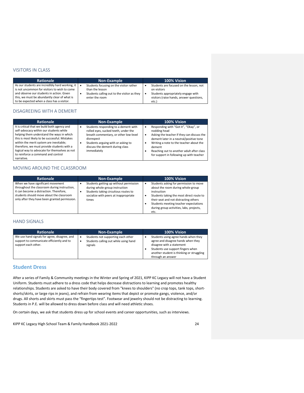## VISITORS IN CLASS

| <b>Rationale</b>                                                                                                                                                                                                                           | <b>Non-Example</b> |                                                                                                                             | 100% Vision |                                                                                                                                                   |
|--------------------------------------------------------------------------------------------------------------------------------------------------------------------------------------------------------------------------------------------|--------------------|-----------------------------------------------------------------------------------------------------------------------------|-------------|---------------------------------------------------------------------------------------------------------------------------------------------------|
| As our students are incredibly hard working, it<br>is not uncommon for visitors to wish to come<br>and observe our students in action. Given<br>this, we must be abundantly clear of what is<br>to be expected when a class has a visitor. | $\bullet$          | Students focusing on the visitor rather<br>than the lesson<br>Students calling out to the visitor as they<br>enter the room |             | Students are focused on the lesson, not<br>on visitors<br>Students appropriately engage with<br>visitors (raise hands, answer questions,<br>etc.) |

### DISAGREEING WITH A DEMERIT

| <b>Rationale</b>                                                                                                                                                                                                                                                                                                                                                                     | <b>Non-Example</b>                                                                                                                                                                                                                      | 100% Vision                                                                                                                                                                                                                                                                                                       |
|--------------------------------------------------------------------------------------------------------------------------------------------------------------------------------------------------------------------------------------------------------------------------------------------------------------------------------------------------------------------------------------|-----------------------------------------------------------------------------------------------------------------------------------------------------------------------------------------------------------------------------------------|-------------------------------------------------------------------------------------------------------------------------------------------------------------------------------------------------------------------------------------------------------------------------------------------------------------------|
| It is critical that we build both agency and<br>self-advocacy within our students while<br>helping them understand the ways in which<br>this is most likely to be successful. Mistakes<br>within the merit system are inevitable;<br>therefore, we must provide students with a<br>logical way to advocate for themselves as not<br>to reinforce a command and control<br>narrative. | Students responding to a demerit with<br>٠<br>rolled eyes, sucked teeth, under the<br>breath commentary, or other low-level<br>disrespect<br>Students arguing with or asking to<br>٠<br>discuss the demerit during class<br>immediately | Responding with "Got it", "Okay", or<br>٠<br>nodding head<br>Asking the teacher if they can discuss the<br>٠<br>demerit later in a neutral/positive tone<br>Writing a note to the teacher about the<br>٠<br>demerit<br>Reaching out to another adult after class<br>٠<br>for support in following up with teacher |

## MOVING AROUND THE CLASSROOM

| <b>Rationale</b>                                                                                                                                                                                                          | Non-Example                                                                                                                                                                  | 100% Vision                                                                                                                                                                                                                                                                  |
|---------------------------------------------------------------------------------------------------------------------------------------------------------------------------------------------------------------------------|------------------------------------------------------------------------------------------------------------------------------------------------------------------------------|------------------------------------------------------------------------------------------------------------------------------------------------------------------------------------------------------------------------------------------------------------------------------|
| When we have significant movement<br>throughout the classroom during instruction,<br>it can become a distraction. Therefore,<br>students should move about the classroom<br>only after they have been granted permission. | Students getting up without permission<br>٠<br>during whole-group instruction<br>Students taking circuitous routes to<br>٠<br>socialize with peers at inappropriate<br>times | Students asking for permission to move<br>about the room during whole-group<br>instruction<br>Students taking the most direct route to<br>their seat and not distracting others<br>Students meeting teacher expectations<br>during group activities, labs, projects,<br>etc. |

### HAND SIGNALS

| <b>Rationale</b>                                                                                                 | Non-Example                                                                                 | 100% Vision                                                                                                                                                                                                    |
|------------------------------------------------------------------------------------------------------------------|---------------------------------------------------------------------------------------------|----------------------------------------------------------------------------------------------------------------------------------------------------------------------------------------------------------------|
| We use hand signals for agree, disagree, and<br>support to communicate efficiently and to<br>support each other. | Students not supporting each other<br>٠<br>Students calling out while using hand<br>signals | Students using agree hands when they<br>agree and disagree hands when they<br>disagree with a statement<br>Students use support fingers when<br>another student is thinking or struggling<br>through an answer |

## <span id="page-23-0"></span>**Student Dress**

After a series of Family & Community meetings in the Winter and Spring of 2021, KIPP KC Legacy will not have a Student Uniform. Students must adhere to a dress code that helps decrease distractions to learning and promotes healthy relationships. Students are asked to have their body covered from "knees to shoulders" (no crop tops, tank tops, shortshorts/skirts, or large rips in jeans), and refrain from wearing items that depict or promote gangs, violence, and/or drugs. All shorts and skirts must pass the "fingertips test". Footwear and jewelry should not be distracting to learning. Students in P.E. will be allowed to dress down before class and will need athletic shoes.

On certain days, we ask that students dress up for school events and career opportunities, such as interviews.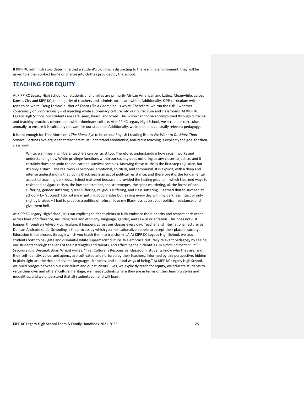If KIPP KC administrators determine that a student's clothing is distracting to the learning environment, they will be asked to either contact home or change into clothes provided by the school.

## <span id="page-24-0"></span>**TEACHING FOR EQUITY**

At KIPP KC Legacy High School, our students and families are primarily African American and Latinx. Meanwhile, across Kansas City and KIPP KC, the majority of teachers and administrators are white. Additionally, KIPP curriculum writers tend to be white. Doug Lemov, author of *Teach Like a Champion*, is white. Therefore, we run the risk – whether consciously or unconsciously – of injecting white supremacy culture into our curriculum and classrooms. At KIPP KC Legacy High School, our students are safe, seen, heard, and loved. This vision cannot be accomplished through curricula and teaching practices centered on white-dominant culture. At KIPP KC Legacy High School, we scrub our curriculum annually to ensure it is culturally relevant for our students. Additionally, we implement culturally relevant pedagogy.

It is not enough for Toni Morrison's *The Bluest Eye* to be on our English I reading list. In *We Want to Do More Than Survive*, Bettina Love argues that teachers must understand abolitionist, anti-racist teaching is explicitly the goal for their classroom.

White, well-meaning, liberal teachers can be racist too. Therefore, understanding how racism works and understanding how White privilege functions within our society does not bring us any closer to justice, and it certainly does not undo the educational survival complex. Knowing these truths is the first step to justice, but it's only a start… The real work is personal, emotional, spiritual, and communal. It is explicit, with a deep and intense understanding that loving Blackness is an act of political resistance, and therefore it is the fundamental aspect to teaching dark kids… School mattered because it provided the testing ground in which I learned ways to resist and navigate racism, the low expectations, the stereotypes, the spirit-murdering, all the forms of dark suffering, gender suffering, queer suffering, religious suffering, and class suffering. I learned that to succeed at school – by 'succeed' I do not mean getting good grades but leaving every day with my darkness intact or only slightly bruised – I had to practice a politics of refusal, love my Blackness as an act of political resistance, and give them hell.

At KIPP KC Legacy High School, it is our explicit goal for students to fully embrace their identity and respect each other across lines of difference, including race and ethnicity, language, gender, and sexual orientation. This does not just happen through an Advisory curriculum; it happens across our classes every day. Teacher and international lecturer Jeff Duncan-Andrade said: "Schooling is the process by which you institutionalize people to accept their place in society… Education is the process through which you teach them to transform it." At KIPP KC Legacy High School, we teach students both to navigate and dismantle white supremacist culture. We embrace culturally relevant pedagogy by seeing our students through the lens of their strengths and talents, and affirming their identities. In *Urban Education: Still Separate and Unequal*, Brian Wright writes: "In a [Culturally Responsive] classroom, students know who they are, and their self-identity, voice, and agency are cultivated and nurtured by their teachers. Informed by this perspective, hidden in plain sight are the rich and diverse languages, literacies, and cultural ways of being." At KIPP KC Legacy High School, we build bridges between our curriculum and our students' lives, we explicitly teach for equity, we educate students to value their own and others' cultural heritage, we meet students where they are in terms of their learning styles and modalities, and we understand that all students can and will learn.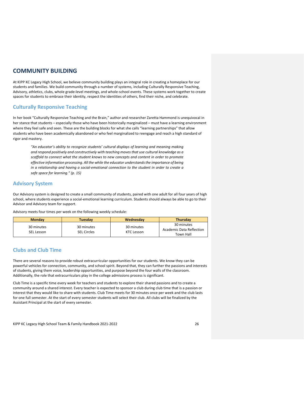## <span id="page-25-0"></span>**COMMUNITY BUILDING**

At KIPP KC Legacy High School, we believe community building plays an integral role in creating a homeplace for our students and families. We build community through a number of systems, including Culturally Responsive Teaching, Advisory, athletics, clubs, whole grade-level meetings, and whole-school events. These systems work together to create spaces for students to embrace their identity, respect the identities of others, find their niche, and celebrate.

## <span id="page-25-1"></span>**Culturally Responsive Teaching**

In her book "Culturally Responsive Teaching and the Brain," author and researcher Zaretta Hammond is unequivocal in her stance that students – especially those who have been historically marginalized – must have a learning environment where they feel safe and seen. These are the building blocks for what she calls "learning partnerships" that allow students who have been academically abandoned or who feel marginalized to reengage and reach a high standard of rigor and mastery.

*"An educator's ability to recognize students' cultural displays of learning and meaning making and respond positively and constructively with teaching moves that use cultural knowledge as a scaffold to connect what the student knows to new concepts and content in order to promote effective information processing. All the while the educator understands the importance of being in a relationship and having a social-emotional connection to the student in order to create a safe space for learning." (p. 15)*

## <span id="page-25-2"></span>**Advisory System**

Our Advisory system is designed to create a small community of students, paired with one adult for all four years of high school, where students experience a social-emotional learning curriculum. Students should always be able to go to their Advisor and Advisory team for support.

Advisory meets four times per week on the following weekly schedule:

| <b>Monday</b>            | Tuesdav                          | Wednesday                | <b>Thursday</b>                                     |
|--------------------------|----------------------------------|--------------------------|-----------------------------------------------------|
| 30 minutes<br>SEL Lesson | 30 minutes<br><b>SEL Circles</b> | 30 minutes<br>KTC Lesson | 30 minutes<br>Academic Data Reflection<br>Town Hall |

## <span id="page-25-3"></span>**Clubs and Club Time**

There are several reasons to provide robust extracurricular opportunities for our students. We know they can be powerful vehicles for connection, community, and school spirit. Beyond that, they can further the passions and interests of students, giving them voice, leadership opportunities, and purpose beyond the four walls of the classroom. Additionally, the role that extracurriculars play in the college admissions process is significant.

Club Time is a specific time every week for teachers and students to explore their shared passions and to create a community around a shared interest. Every teacher is expected to sponsor a club during club time that is a passion or interest that they would like to share with students. Club Time meets for 30 minutes once per week and the club lasts for one full semester. At the start of every semester students will select their club. All clubs will be finalized by the Assistant Principal at the start of every semester.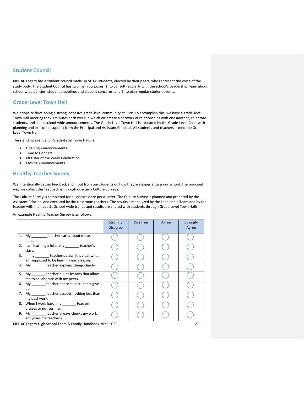## <span id="page-26-0"></span>**Student Council**

KIPP KC Legacy has a student council made up of 3-8 students, elected by their peers, who represent the voice of the study body. The Student Council has two main purposes: 1) to consult regularly with the school's Leadership Team about school-wide policies, student discipline, and student concerns; and 2) to plan regular student events.

## <span id="page-26-1"></span>**Grade-Level Town Hall**

We prioritize developing a strong, cohesive grade-level community at KIPP. To accomplish this, we have a grade-level Town Hall meeting for 20 minutes each week in which we create a network of relationships with one another, celebrate students, and share school-wide announcements. The Grade-Level Town Hall is executed by the Grade-Level Chair with planning and execution support from the Principal and Assistant Principal. All students and teachers attend the Grade-Level Town Hall.

The standing agenda for Grade-Level Town Halls is:

- Opening Announcements
- Time to Connect
- KIPPster of the Week Celebration
- Closing Announcements

## <span id="page-26-2"></span>**Healthy Teacher Survey**

We intentionally gather feedback and input from our students on how they are experiencing our school. The principal way we collect this feedback is through quarterly Culture Surveys.

The Culture Survey is completed for all classes once per quarter. The Culture Survey is planned and prepared by the Assistant Principal and executed by the classroom teachers. The results are analyzed by the Leadership Team and by the teacher with their coach. School-wide trends and results are shared with students through Grade-Level Town Halls.

An example Healthy Teacher Survey is as follows:

|                                                                   |                                                                                                  | Strongly<br><b>Disagree</b> | <b>Disagree</b> | Agree | Strongly<br>Agree |
|-------------------------------------------------------------------|--------------------------------------------------------------------------------------------------|-----------------------------|-----------------|-------|-------------------|
|                                                                   | 1. My teacher cares about me as a<br>person.                                                     |                             |                 |       |                   |
|                                                                   | 2. I am learning a lot in my ________ teacher's<br>class.                                        |                             |                 |       |                   |
|                                                                   | 3. In my ________ teacher's class, it is clear what I<br>am supposed to be learning each lesson. |                             |                 |       |                   |
|                                                                   | 4. My teacher explains things clearly.                                                           |                             |                 |       |                   |
|                                                                   | 5. My teacher builds lessons that allow<br>me to collaborate with my peers.                      |                             |                 |       |                   |
|                                                                   | 6. My teacher doesn't let students give<br>up.                                                   |                             |                 |       |                   |
| 7.                                                                | My _______ teacher accepts nothing less than<br>my best work.                                    |                             |                 |       |                   |
|                                                                   | 8. When I work hard, my ________ teacher<br>praises or notices me.                               |                             |                 |       |                   |
|                                                                   | 9. My teacher always checks my work<br>and gives me feedback.                                    |                             |                 |       |                   |
| KIPP KC Legacy High School Team & Family Handbook 2021-2022<br>27 |                                                                                                  |                             |                 |       |                   |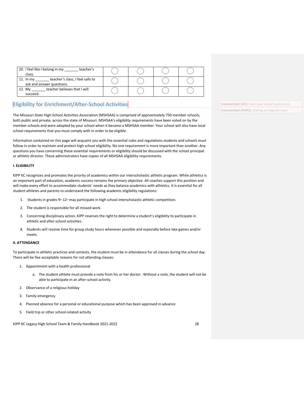| 10. I feel like I belong in my<br>teacher's<br>class.                       |  |  |
|-----------------------------------------------------------------------------|--|--|
| teacher's class, I feel safe to<br>11. In $my$<br>ask and answer questions. |  |  |
| teacher believes that I will<br>12. Mv<br>succeed.                          |  |  |

## <span id="page-27-0"></span>**Eligibility for Enrichment/After-School Activities**

The Missouri State High School Activities Association (MSHSAA) is comprised of approximately 750 member schools, both public and private, across the state of Missouri. MSHSAA's eligibility requirements have been voted on by the member schools and were adopted by your school when it became a MSHSAA member. Your school will also have local school requirements that you must comply with in order to be eligible.

Information contained on this page will acquaint you with the essential rules and regulations students and schools must follow in order to maintain and protect high school eligibility. No one requirement is more important than another. Any questions you have concerning these essential requirements or eligibility should be discussed with the school principal or athletic director. These administrators have copies of all MSHSAA eligibility requirements.

#### **I. ELIGIBILITY**

KIPP KC recognizes and promotes the priority of academics within our interscholastic athletic program. While athletics is an important part of education, academic success remains the primary objective. All coaches support this position and will make every effort to accommodate students' needs as they balance academics with athletics. It is essential for all student athletes and parents to understand the following academic eligibility regulations:

- 1. Students in grades 9<sup>th</sup>-12<sup>th</sup> may participate in high school interscholastic athletic competition.
- 2. The student is responsible for all missed work.
- 3. Concerning disciplinary action, KIPP reserves the right to determine a student's eligibility to participate in athletic and after-school activities.
- 4. Students will receive time for group study hours whenever possible and especially before late games and/or meets.

### **II. ATTENDANCE**

To participate in athletic practices and contests, the student must be in attendance for all classes during the school day. There will be five acceptable reasons for not attending classes:

- 1. Appointment with a health professional
	- a. The student athlete must provide a note from his or her doctor. Without a note, the student will not be able to participate in an after-school activity.
- 2. Observance of a religious holiday
- 3. Family emergency
- 4. Planned absence for a personal or educational purpose which has been approved in advance
- 5. Field trip or other school-related activity

KIPP KC Legacy High School Team & Family Handbook 2021-2022 28

**Commented [A5]:** Insert your school's policy here. **Commented [A6R5]:** Waiting on Regional Team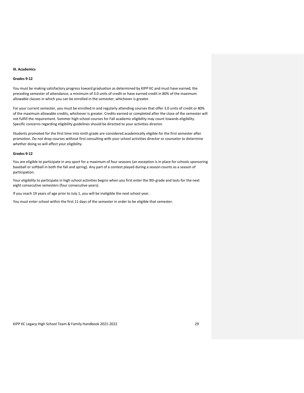#### **III. Academics**

#### **Grades 9-12**

You must be making satisfactory progress toward graduation as determined by KIPP KC and must have earned, the preceding semester of attendance, a minimum of 3.0 units of credit or have earned credit in 80% of the maximum allowable classes in which you can be enrolled in the semester, whichever is greater.

For your current semester, you must be enrolled in and regularly attending courses that offer 3.0 units of credit or 80% of the maximum allowable credits, whichever is greater. Credits earned or completed after the close of the semester will not fulfill the requirement. Summer high school courses for Fall academic eligibility may count towards eligibility. Specific concerns regarding eligibility guidelines should be directed to your activities director.

Students promoted for the first time into ninth grade are considered academically eligible for the first semester after promotion. Do not drop courses without first consulting with your school activities director or counselor to determine whether doing so will affect your eligibility.

#### **Grades 9-12**

You are eligible to participate in any sport for a maximum of four seasons (an exception is in place for schools sponsoring baseball or softball in both the fall and spring). Any part of a contest played during a season counts as a season of participation.

Your eligibility to participate in high school activities begins when you first enter the 9th grade and lasts for the next eight consecutive semesters (four consecutive years).

If you reach 19 years of age prior to July 1, you will be ineligible the next school year.

You must enter school within the first 11 days of the semester in order to be eligible that semester.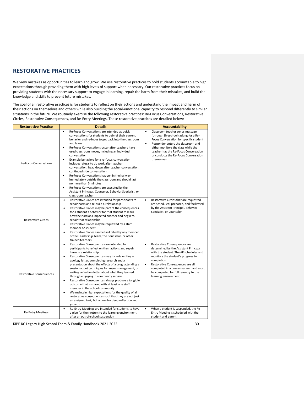## <span id="page-29-0"></span>**RESTORATIVE PRACTICES**

We view mistakes as opportunities to learn and grow. We use restorative practices to hold students accountable to high expectations through providing them with high levels of support when necessary. Our restorative practices focus on providing students with the necessary support to engage in learning, repair the harm from their mistakes, and build the knowledge and skills to prevent future mistakes.

The goal of all restorative practices is for students to reflect on their actions and understand the impact and harm of their actions on themselves and others while also building the social-emotional capacity to respond differently to similar situations in the future. We routinely exercise the following restorative practices: Re-Focus Conversations, Restorative Circles, Restorative Consequences, and Re-Entry Meetings. These restorative practices are detailed below:

| <b>Restorative Practice</b>     | <b>Details</b>                                                                                                                                                                                                                                                                                                                                                                                                                                                                                                                                                                                                                                                                                                                                                                                                          | <b>Accountability</b>                                                                                                                                                                                                                                                                                                                         |
|---------------------------------|-------------------------------------------------------------------------------------------------------------------------------------------------------------------------------------------------------------------------------------------------------------------------------------------------------------------------------------------------------------------------------------------------------------------------------------------------------------------------------------------------------------------------------------------------------------------------------------------------------------------------------------------------------------------------------------------------------------------------------------------------------------------------------------------------------------------------|-----------------------------------------------------------------------------------------------------------------------------------------------------------------------------------------------------------------------------------------------------------------------------------------------------------------------------------------------|
| <b>Re-Focus Conversations</b>   | Re-Focus Conversations are intended as quick<br>$\bullet$<br>conversations for students to debrief their current<br>behavior and re-focus to get back into the classroom<br>and learn<br>Re-Focus Conversations occur after teachers have<br>$\bullet$<br>used classroom moves, including an individual<br>conversation<br>Example behaviors for a re-focus conversation<br>$\bullet$<br>include: refusal to do work after teacher<br>conversation, head down after teacher conversation,<br>continued side conversation<br>$\bullet$<br>Re-Focus Conversations happen in the hallway<br>immediately outside the classroom and should last<br>no more than 3 minutes<br>Re-Focus Conversations are executed by the<br>$\bullet$<br>Assistant Principal, Counselor, Behavior Specialist, or<br>classroom teacher         | $\bullet$<br>Classroom teacher sends message<br>(through Liveschool) asking for a Re-<br>Focus Conversation for specific student<br>$\bullet$<br>Responder enters the classroom and<br>either monitors the class while the<br>teacher has the Re-Focus Conversation<br>or conducts the Re-Focus Conversation<br>themselves                    |
| <b>Restorative Circles</b>      | Restorative Circles are intended for participants to<br>$\bullet$<br>repair harm and re-build a relationship<br>Restorative Circles may be part of the consequences<br>$\bullet$<br>for a student's behavior for that student to learn<br>how their actions impacted another and begin to<br>repair that relationship.<br>Restorative Circles may be requested by a staff<br>$\bullet$<br>member or student<br>Restorative Circles can be facilitated by any member<br>$\bullet$<br>of the Leadership Team, the Counselor, or other<br>trained teachers                                                                                                                                                                                                                                                                 | Restorative Circles that are requested<br>$\bullet$<br>are scheduled, prepared, and facilitated<br>by the Assistant Principal, Behavior<br>Specialist, or Counselor                                                                                                                                                                           |
| <b>Restorative Consequences</b> | Restorative Consequences are intended for<br>$\bullet$<br>participants to reflect on their actions and repair<br>harm in a relationship<br>Restorative Consequences may include writing an<br>$\bullet$<br>apology letter, completing research and a<br>presentation about the effects of a drug, attending a<br>session about techniques for anger management, or<br>writing reflection letter about what they learned<br>through engaging in community service<br>Restorative Consequences always produce a tangible<br>$\bullet$<br>outcome that is shared with at least one staff<br>member in the school community<br>We maintain high expectations for the quality of all<br>$\bullet$<br>restorative consequences such that they are not just<br>an assigned task, but a time for deep reflection and<br>growth. | Restorative Consequences are<br>$\bullet$<br>determined by the Assistant Principal<br>with the student. The AP schedules and<br>monitors the student's progress to<br>completion.<br>$\bullet$<br>Restorative Consequences are all<br>completed in a timely manner, and must<br>be completed for full re-entry to the<br>learning environment |
| <b>Re-Entry Meetings</b>        | Re-Entry Meetings are intended for students to have<br>$\bullet$<br>a plan for their return to the learning environment<br>after an out-of-school suspension                                                                                                                                                                                                                                                                                                                                                                                                                                                                                                                                                                                                                                                            | When a student is suspended, the Re-<br>$\bullet$<br>Entry Meeting is scheduled with the<br>student and parent                                                                                                                                                                                                                                |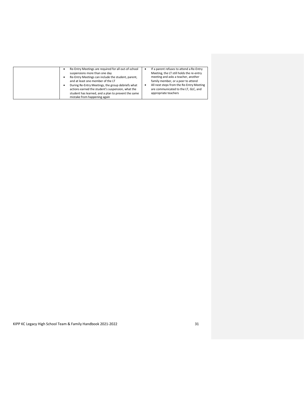| Re-Entry Meetings are required for all out-of-school<br>suspensions more than one day<br>Re-Entry Meetings can include the student, parent,<br>and at least one member of the LT<br>During Re-Entry Meetings, the group debriefs what<br>actions earned the student's suspension, what the<br>student has learned, and a plan to prevent the same<br>mistake from happening again | If a parent refuses to attend a Re-Entry<br>٠<br>Meeting, the LT still holds the re-entry<br>meeting and asks a teacher, another<br>family member, or a peer to attend<br>All next steps from the Re-Entry Meeting<br>٠<br>are communicated to the LT, GLC, and<br>appropriate teachers |
|-----------------------------------------------------------------------------------------------------------------------------------------------------------------------------------------------------------------------------------------------------------------------------------------------------------------------------------------------------------------------------------|-----------------------------------------------------------------------------------------------------------------------------------------------------------------------------------------------------------------------------------------------------------------------------------------|
|-----------------------------------------------------------------------------------------------------------------------------------------------------------------------------------------------------------------------------------------------------------------------------------------------------------------------------------------------------------------------------------|-----------------------------------------------------------------------------------------------------------------------------------------------------------------------------------------------------------------------------------------------------------------------------------------|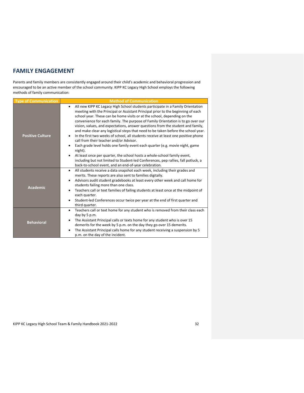## <span id="page-31-0"></span>**FAMILY ENGAGEMENT**

Parents and family members are consistently engaged around their child's academic and behavioral progression and encouraged to be an active member of the school community. KIPP KC Legacy High School employs the following methods of family communication:

| <b>Type of Communication</b> | <b>Method of Communication</b>                                                                                                                                                                                                                                                                                                                                                                                                                                                                                                                                                                                                                                                                                                                                                                                                                                                                                                                                                                 |  |  |
|------------------------------|------------------------------------------------------------------------------------------------------------------------------------------------------------------------------------------------------------------------------------------------------------------------------------------------------------------------------------------------------------------------------------------------------------------------------------------------------------------------------------------------------------------------------------------------------------------------------------------------------------------------------------------------------------------------------------------------------------------------------------------------------------------------------------------------------------------------------------------------------------------------------------------------------------------------------------------------------------------------------------------------|--|--|
| <b>Positive Culture</b>      | All new KIPP KC Legacy High School students participate in a Family Orientation<br>٠<br>meeting with the Principal or Assistant Principal prior to the beginning of each<br>school year. These can be home visits or at the school, depending on the<br>convenience for each family. The purpose of Family Orientation is to go over our<br>vision, values, and expectations, answer questions from the student and family,<br>and make clear any logistical steps that need to be taken before the school year.<br>In the first two weeks of school, all students receive at least one positive phone<br>٠<br>call from their teacher and/or Advisor.<br>Each grade level holds one family event each quarter (e.g. movie night, game<br>$\bullet$<br>night).<br>At least once per quarter, the school hosts a whole-school family event,<br>٠<br>including but not limited to Student-led Conferences, pep rallies, fall potluck, a<br>back-to-school event, and an end-of-year celebration. |  |  |
| <b>Academic</b>              | All students receive a data snapshot each week, including their grades and<br>$\bullet$<br>merits. These reports are also sent to families digitally.<br>Advisors audit student gradebooks at least every other week and call home for<br>٠<br>students failing more than one class.<br>Teachers call or text families of failing students at least once at the midpoint of<br>٠<br>each quarter.<br>Student-led Conferences occur twice per year at the end of first quarter and<br>$\bullet$<br>third quarter.                                                                                                                                                                                                                                                                                                                                                                                                                                                                               |  |  |
| <b>Behavioral</b>            | Teachers call or text home for any student who is removed from their class each<br>day by 5 p.m.<br>The Assistant Principal calls or texts home for any student who is over 15<br>٠<br>demerits for the week by 5 p.m. on the day they go over 15 demerits.<br>The Assistant Principal calls home for any student receiving a suspension by 5<br>$\bullet$<br>p.m. on the day of the incident.                                                                                                                                                                                                                                                                                                                                                                                                                                                                                                                                                                                                 |  |  |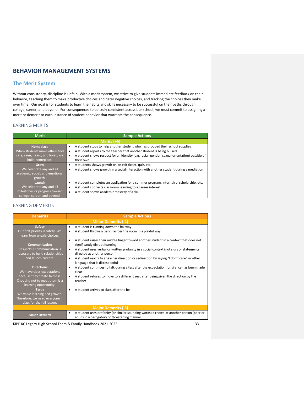## <span id="page-32-0"></span>**BEHAVIOR MANAGEMENT SYSTEMS**

## <span id="page-32-1"></span>**The Merit System**

Without consistency, discipline is unfair. With a merit system, we strive to give students immediate feedback on their behavior, teaching them to make productive choices and deter negative choices, and tracking the choices they make over time. Our goal is for students to learn the habits and skills necessary to be successful on their paths through college, career, and beyond. For consequences to be truly consistent across our school, we must commit to assigning a merit or demerit to each instance of student behavior that warrants the consequence.

### EARNING MERITS

| <b>Merit</b>                                                                                        | <b>Sample Actions</b>                                                                                                                                                                                                                                                             |
|-----------------------------------------------------------------------------------------------------|-----------------------------------------------------------------------------------------------------------------------------------------------------------------------------------------------------------------------------------------------------------------------------------|
|                                                                                                     | Merits (+5)                                                                                                                                                                                                                                                                       |
| Homeplace<br>When students make others feel<br>safe, seen, heard, and loved, we<br>build homeplace. | A student stops to help another student who has dropped their school supplies<br>$\bullet$<br>A student reports to the teacher that another student is being bullied<br>A student shows respect for an identity (e.g. racial, gender, sexual orientation) outside of<br>their own |
| Grow<br>We celebrate any and all<br>academic, social, and emotional<br>growth.                      | A students shows growth on an exit ticket, quiz, etc.<br>٠<br>A student shows growth in a social interaction with another student during a mediation<br>٠                                                                                                                         |
| Launch<br>We celebrate any and all<br>milestones or progress toward<br>college, career, and beyond. | A student completes an application for a summer program, internship, scholarship, etc.<br>٠<br>A student connects classroom learning to a career interest<br>٠<br>A student shows academic mastery of a skill                                                                     |

### EARNING DEMERITS

| <b>Demerits</b>                                                                                                                             | <b>Sample Actions</b>                                                                                                                                                                                                                                                                                                                                                                                           |  |  |
|---------------------------------------------------------------------------------------------------------------------------------------------|-----------------------------------------------------------------------------------------------------------------------------------------------------------------------------------------------------------------------------------------------------------------------------------------------------------------------------------------------------------------------------------------------------------------|--|--|
| <b>Minor Demerits (-1)</b>                                                                                                                  |                                                                                                                                                                                                                                                                                                                                                                                                                 |  |  |
| <b>Safety</b><br>Our first priority is safety. We<br>learn from unsafe choices.                                                             | A student is running down the hallway<br>٠<br>A student throws a pencil across the room in a playful way<br>$\bullet$                                                                                                                                                                                                                                                                                           |  |  |
| Communication<br>Respectful communication is<br>necessary to build relationships<br>and launch careers.                                     | A student raises their middle finger toward another student in a context that does not<br>٠<br>significantly disrupt learning<br>A student uses verbal or written profanity in a social context (not slurs or statements<br>$\bullet$<br>directed at another person)<br>A student reacts to a teacher direction or redirection by saying "I don't care" or other<br>$\bullet$<br>language that is disrespectful |  |  |
| <b>Directions</b><br>We have clear expectations<br>because they create fairness.<br>Choosing not to meet them is a<br>learning opportunity. | A student continues to talk during a test after the expectation for silence has been made<br>$\bullet$<br>clear<br>A student refuses to move to a different seat after being given the direction by the<br>٠<br>teacher                                                                                                                                                                                         |  |  |
| <b>Tardy</b><br>We value learning and growth.<br>Therefore, we need everyone in<br>class for the full lesson.                               | A student arrives to class after the hell                                                                                                                                                                                                                                                                                                                                                                       |  |  |
| <b>Major Demerits (-5)</b>                                                                                                                  |                                                                                                                                                                                                                                                                                                                                                                                                                 |  |  |
| <b>Major Demerit</b>                                                                                                                        | A student uses profanity (or similar sounding words) directed at another person (peer or<br>٠<br>adult) in a derogatory or threatening manner                                                                                                                                                                                                                                                                   |  |  |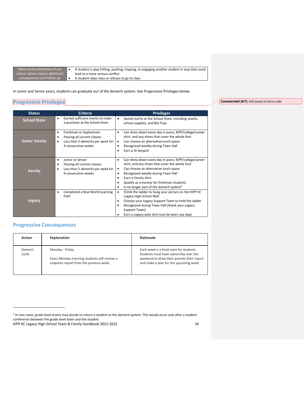| More serious breaches of our     |
|----------------------------------|
| school values require additional |
| consequences and follow up.      |

• A student is play hitting, pushing, tripping, or engaging another student in way that could lead to a more serious conflict A student skips class or refuses to go to class

In Junior and Senior years, students can graduate out of the demerit system. See Progressive Privileges below:

## <span id="page-33-0"></span>**Progressive Privileges**

**Status Criteria Privileges School Store** • Earned sufficient merits to make a purchase at the School Store • Spend merits at the School Store, including snacks, school supplies, and Bid Trips **Junior Varsity** • Freshman or Sophomore • Passing all current classes<br>• Less than 5 demerits ner w Less than 5 demerits per week for 4 consecutive weeks • Can dress down every day in jeans, KIPP/college/career shirt, and any shoes that cover the whole foot Can choose an alternative lunch space • Recognized weekly during Town Hall • Earn a JV lanyard **Varsity** • Junior or Senior • Passing all current classes Less than 5 demerits per week for 4 consecutive weeks • Can dress down every day in jeans, KIPP/college/career shirt, and any shoes that cover the whole foot • Can choose an alternative lunch space • Recognized weekly during Town Hall • Earn a Varsity shirt • Qualify as a mentor for freshman students Is no longer part of the demerit system<sup>4</sup> **Legacy** • Completed a Real World Learning Path • Climb the ladder to hang your picture on the KIPP KC Legacy High School Wall • Choose your Legacy Support Team to hold the ladder • Recognized during Town Hall (thank your Legacy Support Team) Earn a Legacy polo shirt (can be worn any day)

## <span id="page-33-1"></span>**Progressive Consequences**

| <b>Action</b>    | Explanation                                                                                                | Rationale                                                                                                                                                                 |
|------------------|------------------------------------------------------------------------------------------------------------|---------------------------------------------------------------------------------------------------------------------------------------------------------------------------|
| Demerit<br>Cycle | Monday - Friday<br>Every Monday morning students will receive a<br>snapshot report from the previous week. | Each week is a fresh start for students.<br>Students must have ownership over the<br>weekend to show their parents their report<br>and make a plan for the upcoming week. |

**Commented [A7]:** Edit based on dress code

<sup>4</sup> In rare cases, grade level teams may decide to return a student to the demerit system. This would occur only after a student conference between the grade level team and the student.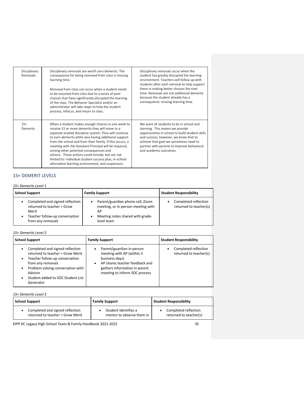| Disciplinary<br>Removals | Disciplinary removals are worth zero demerits. The<br>consequence for being removed from class is missing<br>learning time.<br>Removal from class can occur when a student needs<br>to be escorted from class due to a series of poor<br>choices that have significantly disrupted the learning<br>of the class. The Behavior Specialist and/or an<br>administrator will take steps to help the student<br>process, refocus, and return to class.                                                                                                            | Disciplinary removals occur when the<br>student has greatly disrupted the learning<br>environment. Teachers will follow up with<br>students after each removal to help support<br>them in making better choices the next<br>time. Removals are not additional demerits<br>because the student already has a<br>consequence: missing learning time. |
|--------------------------|--------------------------------------------------------------------------------------------------------------------------------------------------------------------------------------------------------------------------------------------------------------------------------------------------------------------------------------------------------------------------------------------------------------------------------------------------------------------------------------------------------------------------------------------------------------|----------------------------------------------------------------------------------------------------------------------------------------------------------------------------------------------------------------------------------------------------------------------------------------------------------------------------------------------------|
| $15+$<br>Demerits        | When a student makes enough choices in one week to<br>receive 15 or more demerits they will move to a<br>separate leveled discipline system. They will continue<br>to earn demerits while also having additional support<br>from the school and from their family. If this occurs, a<br>meeting with the Assistant Principal will be required,<br>among other potential consequences and<br>actions. These actions could include, but are not<br>limited to: individual student success plan, in-school<br>alternative learning environment, and suspension. | We want all students to be in school and<br>learning. This means we provide<br>opportunities in school to build student skills<br>and success; however, we know that to<br>achieve that goal we sometimes need to<br>partner with parents to improve behavioral<br>and academic outcomes.                                                          |

## 15+ DEMERIT LEVELS

## *15+ Demerits Level 1*

| <b>School Support</b>                                                                                                                           | <b>Family Support</b>                                                                                                               | <b>Student Responsibility</b>                  |
|-------------------------------------------------------------------------------------------------------------------------------------------------|-------------------------------------------------------------------------------------------------------------------------------------|------------------------------------------------|
| Completed and signed reflection<br>٠<br>returned to teacher = Grow<br>Merit<br>Teacher follow-up conversation<br>$\bullet$<br>from any removals | Parent/guardian phone call, Zoom<br>٠<br>meeting, or in-person meeting with<br>АP<br>Meeting notes shared with grade-<br>level team | Completed reflection<br>returned to teacher(s) |

## *15+ Demerits Level 2*

| <b>School Support</b>                                                                                                                                                                                                        | <b>Family Support</b>                                                                                                                                                                           | <b>Student Responsibility</b>                  |
|------------------------------------------------------------------------------------------------------------------------------------------------------------------------------------------------------------------------------|-------------------------------------------------------------------------------------------------------------------------------------------------------------------------------------------------|------------------------------------------------|
| Completed and signed reflection<br>returned to teacher = Grow Merit<br>Teacher follow-up conversation<br>from any removals<br>Problem solving conversation with<br>Advisor<br>Student added to SOC Student List<br>Generator | Parent/guardian in-person<br>٠<br>meeting with AP (within 3)<br>business days)<br>AP shares teacher feedback and<br>$\bullet$<br>gathers information in parent<br>meeting to inform SOC process | Completed reflection<br>returned to teacher(s) |

## *15+ Demerits Level 3*

| <b>School Support</b>                                               | <b>Family Support</b>                             | <b>Student Responsibility</b>                  |  |
|---------------------------------------------------------------------|---------------------------------------------------|------------------------------------------------|--|
| Completed and signed reflection<br>returned to teacher = Grow Merit | Student identifies a<br>mentor to observe them in | Completed reflection<br>returned to teacher(s) |  |
|                                                                     |                                                   |                                                |  |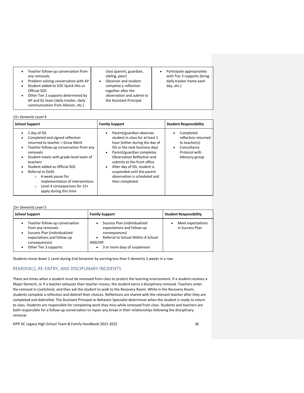| $\bullet$<br>$\bullet$<br>$\bullet$ | Teacher follow-up conversation from<br>any removals<br>Problem solving conversation with AP<br>Student added to SOC Quick Hits or<br>Official SOC | class (parent, guardian,<br>sibling, peer)<br>Observer and student<br>complete a reflection<br>together after the | Participate appropriately<br>with Tier 2 supports (bring<br>daily tracker home each<br>day, etc.) |  |
|-------------------------------------|---------------------------------------------------------------------------------------------------------------------------------------------------|-------------------------------------------------------------------------------------------------------------------|---------------------------------------------------------------------------------------------------|--|
| $\bullet$                           | Other Tier 2 supports determined by<br>AP and GL team (daily tracker, daily<br>communication from Advisor, etc.)                                  | observation and submit to<br>the Assistant Principal                                                              |                                                                                                   |  |

### *15+ Demerits Level 4*

| <b>School Support</b>                                                                                                                                                                                                                                                                                                                                                                                                                                      | <b>Family Support</b>                                                                                                                                                                                                                                                                                                                                                   | <b>Student Responsibility</b>                                                                                                 |
|------------------------------------------------------------------------------------------------------------------------------------------------------------------------------------------------------------------------------------------------------------------------------------------------------------------------------------------------------------------------------------------------------------------------------------------------------------|-------------------------------------------------------------------------------------------------------------------------------------------------------------------------------------------------------------------------------------------------------------------------------------------------------------------------------------------------------------------------|-------------------------------------------------------------------------------------------------------------------------------|
| 1 day of ISS<br>$\bullet$<br>Completed and signed reflection<br>٠<br>returned to teacher = Grow Merit<br>Teacher follow-up conversation from any<br>٠<br>removals<br>Student meets with grade-level team of<br>$\bullet$<br>teachers<br>Student added as Official SOC<br>$\bullet$<br>Referral to DoSS<br>$\bullet$<br>6-week pause for<br>$\circ$<br>implementation of interventions<br>Level 4 consequences for 15+<br>$\circ$<br>apply during this time | Parent/guardian observes<br>$\bullet$<br>student in class for at least 1<br>hour (either during the day of<br>ISS or the next business day)<br>Parent/guardian completes<br>$\bullet$<br>Observation Reflection and<br>submits to the front office<br>After day of ISS, student is<br>٠<br>suspended until the parent<br>observation is scheduled and<br>then completed | Completed<br>$\bullet$<br>reflection returned<br>to teacher(s)<br>Consultancy<br>$\bullet$<br>Protocol with<br>Advisory group |

#### *15+ Demerits Level 5*

| <b>School Support</b>                                                                                                                                                                      | <b>Family Support</b>                                                                                                                                                                              | <b>Student Responsibility</b>        |
|--------------------------------------------------------------------------------------------------------------------------------------------------------------------------------------------|----------------------------------------------------------------------------------------------------------------------------------------------------------------------------------------------------|--------------------------------------|
| Teacher follow-up conversation<br>$\bullet$<br>from any removals<br>Success Plan (individualized<br>$\bullet$<br>expectations and follow-up<br>consequences)<br>Other Tier 3 supports<br>٠ | Success Plan (individualized<br>$\bullet$<br>expectations and follow-up<br>consequences)<br>Referral to School Within A School<br>$\bullet$<br>AND/OR<br>3 or more days of suspension<br>$\bullet$ | Meet expectations<br>in Success Plan |

Students move down 1 Level during 2nd Semester by earning less than 5 demerits 2 weeks in a row.

### REMOVALS, RE-ENTRY, AND DISCIPLINARY INCIDENTS

There are times when a student must be removed from class to protect the learning environment. If a student receives a Major Demerit, or if a teacher exhausts their teacher moves, the student earns a disciplinary removal. Teachers enter the removal in LiveSchool, and then ask the student to walk to the Recovery Room. While in the Recovery Room, students complete a reflection and debrief their choices. Reflections are shared with the relevant teacher after they are completed and debriefed. The Assistant Principal or Behavior Specialist determines when the student is ready to return to class. Students are responsible for completing work they miss while removed from class. Students and teachers are both responsible for a follow-up conversation to repair any break in their relationships following the disciplinary removal.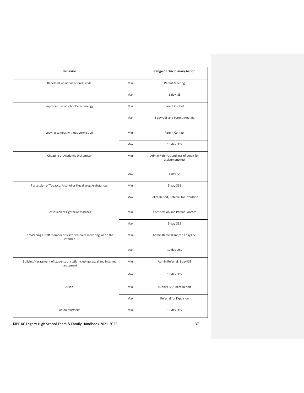| <b>Behavior</b>                                                                       |     | <b>Range of Disciplinary Action</b>                       |
|---------------------------------------------------------------------------------------|-----|-----------------------------------------------------------|
| Repeated violations of dress code                                                     | Min | <b>Parent Meeting</b>                                     |
|                                                                                       | Max | 1 day ISS                                                 |
| Improper use of school's technology                                                   | Min | Parent Contact                                            |
|                                                                                       | Max | 3 day OSS and Parent Meeting                              |
| Leaving campus without permission                                                     | Min | Parent Contact                                            |
|                                                                                       | Max | 10 day OSS                                                |
| Cheating or Academic Dishonesty                                                       | Min | Admin Referral, and loss of credit for<br>assignment/test |
|                                                                                       | Max | 1 day ISS                                                 |
| Possession of Tobacco, Alcohol or Illegal drugs/substances                            | Min | 5 day OSS                                                 |
|                                                                                       | Max | Police Report, Referral for Expulsion                     |
| Possession of Lighter or Matches                                                      | Min | Confiscation and Parent Contact                           |
|                                                                                       | Max | 5 day OSS                                                 |
| Threatening a staff member or visitor verbally, in writing, or on the<br>internet     | Min | Admin Referral and/or 1 day OSS                           |
|                                                                                       | Max | 10 day OSS                                                |
| Bullying/Harassment of students or staff; including sexual and internet<br>harassment | Min | Admin Referral, 1 day ISS                                 |
|                                                                                       | Max | 10 day OSS                                                |
| Arson                                                                                 | Min | 10 day OSS/Police Report                                  |
|                                                                                       | Max | Referral for Expulsion                                    |
| Assault/Battery                                                                       | Min | 10 day OSS                                                |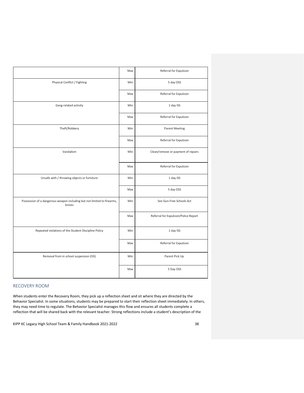|                                                                                   | Max | Referral for Expulsion               |
|-----------------------------------------------------------------------------------|-----|--------------------------------------|
| Physical Conflict / Fighting                                                      | Min | 5 day OSS                            |
|                                                                                   | Max | Referral for Expulsion               |
| Gang-related activity                                                             | Min | 1 day ISS                            |
|                                                                                   | Max | Referral for Expulsion               |
| Theft/Robbery                                                                     | Min | <b>Parent Meeting</b>                |
|                                                                                   | Max | Referral for Expulsion               |
| Vandalism                                                                         | Min | Clean/remove or payment of repairs   |
|                                                                                   | Max | Referral for Expulsion               |
| Unsafe with / throwing objects or furniture                                       | Min | 1 day ISS                            |
|                                                                                   | Max | 5 day OSS                            |
| Possession of a dangerous weapon including but not limited to firearms,<br>knives | Min | See Gun-Free Schools Act             |
|                                                                                   | Max | Referral for Expulsion/Police Report |
| Repeated violations of the Student Discipline Policy                              | Min | 1 day ISS                            |
|                                                                                   | Max | Referral for Expulsion               |
| Removal from in school suspension (ISS)                                           | Min | Parent Pick Up                       |
|                                                                                   | Max | 5 Day OSS                            |
|                                                                                   |     |                                      |

### RECOVERY ROOM

When students enter the Recovery Room, they pick up a reflection sheet and sit where they are directed by the Behavior Specialist. In some situations, students may be prepared to start their reflection sheet immediately. In others, they may need time to regulate. The Behavior Specialist manages this flow and ensures all students complete a reflection that will be shared back with the relevant teacher. Strong reflections include a student's description of the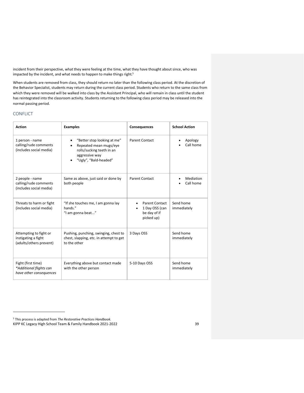incident from their perspective, what they were feeling at the time, what they have thought about since, who was impacted by the incident, and what needs to happen to make things right.<sup>5</sup>

When students are removed from class, they should return no later than the following class period. At the discretion of the Behavior Specialist, students may return during the current class period. Students who return to the same class from which they were removed will be walked into class by the Assistant Principal, who will remain in class until the student has reintegrated into the classroom activity. Students returning to the following class period may be released into the normal passing period.

## CONFLICT

| <b>Action</b>                                                            | <b>Examples</b>                                                                                                               | Consequences                                                          | <b>School Action</b>     |
|--------------------------------------------------------------------------|-------------------------------------------------------------------------------------------------------------------------------|-----------------------------------------------------------------------|--------------------------|
| 1 person - name<br>calling/rude comments<br>(includes social media)      | "Better stop looking at me"<br>Repeated mean mugs/eye<br>rolls/sucking teeth in an<br>aggressive way<br>"Ugly", "Bald-headed" | Parent Contact                                                        | Apology<br>Call home     |
| 2 people - name<br>calling/rude comments<br>(includes social media)      | Same as above, just said or done by<br>both people                                                                            | <b>Parent Contact</b>                                                 | Mediation<br>Call home   |
| Threats to harm or fight<br>(includes social media)                      | "If she touches me, I am gonna lay<br>hands."<br>"I am gonna beat"                                                            | <b>Parent Contact</b><br>1 Day OSS (can<br>be day of if<br>picked up) | Send home<br>immediately |
| Attempting to fight or<br>instigating a fight<br>(adults/others prevent) | Pushing, punching, swinging, chest to<br>chest, slapping, etc. in attempt to get<br>to the other                              | 3 Days OSS                                                            | Send home<br>immediately |
| Fight (first time)<br>*Additional flights can<br>have other consequences | Everything above but contact made<br>with the other person                                                                    | 5-10 Days OSS                                                         | Send home<br>immediately |

KIPP KC Legacy High School Team & Family Handbook 2021-2022 39 <sup>5</sup> This process is adapted from *The Restorative Practices Handbook*.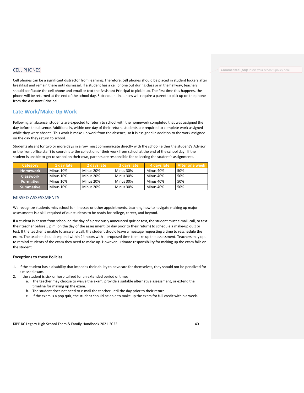## CELL PHONES

Cell phones can be a significant distractor from learning. Therefore, cell phones should be placed in student lockers after breakfast and remain there until dismissal. If a student has a cell phone out during class or in the hallway, teachers should confiscate the cell phone and email or text the Assistant Principal to pick it up. The first time this happens, the phone will be returned at the end of the school day. Subsequent instances will require a parent to pick up on the phone from the Assistant Principal.

## <span id="page-39-0"></span>**Late Work/Make-Up Work**

Following an absence, students are expected to return to school with the homework completed that was assigned the day before the absence. Additionally, within one day of their return, students are required to complete work assigned while they were absent. This work is make-up work from the absence, so it is assigned in addition to the work assigned on the day they return to school.

Students absent for two or more days in a row must communicate directly with the school (either the student's Advisor or the front office staff) to coordinate the collection of their work from school at the end of the school day. If the student is unable to get to school on their own, parents are responsible for collecting the student's assignments.

| Category           | 1 day late | 2 days late | 3 days late | l 4 davs late' | <b>LAfter one week</b> |
|--------------------|------------|-------------|-------------|----------------|------------------------|
| LHomework <b>\</b> | Minus 10%  | Minus 20%   | Minus 30%   | Minus 40%      | 50%                    |
| <b>Classwork</b>   | Minus 10%  | Minus 20%   | Minus 30%   | Minus 40%      | 50%                    |
| <b>Formative</b>   | Minus 10%  | Minus 20%   | Minus 30%   | Minus 40%      | 50%                    |
| Summative          | Minus 10%  | Minus 20%   | Minus 30%   | Minus 40%      | 50%                    |

#### MISSED ASSESSMENTS

We recognize students miss school for illnesses or other appointments. Learning how to navigate making up major assessments is a skill required of our students to be ready for college, career, and beyond.

If a student is absent from school on the day of a previously announced quiz or test, the student must e-mail, call, or text their teacher before 5 p.m. on the day of the assessment (or day prior to their return) to schedule a make-up quiz or test. If the teacher is unable to answer a call, the student should leave a message requesting a time to reschedule the exam. The teacher should respond within 24 hours with a proposed time to make up the assessment. Teachers may opt to remind students of the exam they need to make up. However, ultimate responsibility for making up the exam falls on the student.

#### **Exceptions to these Policies**

- 1. If the student has a disability that impedes their ability to advocate for themselves, they should not be penalized for a missed exam.
- 2. If the student is sick or hospitalized for an extended period of time:
	- a. The teacher may choose to waive the exam, provide a suitable alternative assessment, or extend the timeline for making up the exam.
	- b. The student does not need to e-mail the teacher until the day prior to their return.
	- c. If the exam is a pop quiz, the student should be able to make up the exam for full credit within a week.

KIPP KC Legacy High School Team & Family Handbook 2021-2022 40

#### **Commented [A8]:** Insert your school's policy here.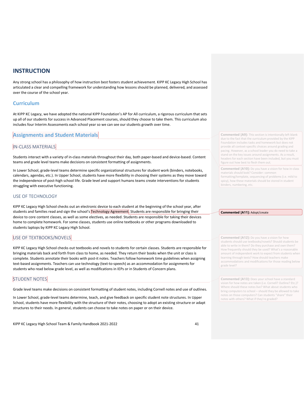## <span id="page-40-0"></span>**INSTRUCTION**

Any strong school has a philosophy of how instruction best fosters student achievement. KIPP KC Legacy High School has articulated a clear and compelling framework for understanding how lessons should be planned, delivered, and assessed over the course of the school year.

## <span id="page-40-1"></span>**Curriculum**

At KIPP KC Legacy, we have adopted the national KIPP Foundation's AP for All curriculum, a rigorous curriculum that sets up all of our students for success in Advanced Placement courses, should they choose to take them. This curriculum also includes four Interim Assessments each school year so we can see our students growth over time.

## <span id="page-40-2"></span>**Assignments and Student Materials**

## IN-CLASS MATERIALS

Students interact with a variety of in-class materials throughout their day, both paper-based and device-based. Content teams and grade level teams make decisions on consistent formatting of assignments.

In Lower School, grade-level teams determine specific organizational structures for student work (binders, notebooks, calendars, agendas, etc.). In Upper School, students have more flexibility in choosing their systems as they move toward the independence of post-high school life. Grade level and support humans teams create interventions for students struggling with executive functioning.

### USE OF TECHNOLOGY

KIPP KC Legacy High School checks out an electronic device to each student at the beginning of the school year, after students and families read and sign the school's Technology Agreement. Students are responsible for bringing their device to core content classes, as well as some electives, as needed. Students are responsible for taking their devices home to complete homework. For some classes, students use online textbooks or other programs downloaded to students laptops by KIPP KC Legacy High School.

## USE OF TEXTBOOKS/NOVELS

KIPP KC Legacy High School checks out textbooks and novels to students for certain classes. Students are responsible for bringing materials back and forth from class to home, as needed. They return their books when the unit or class is complete. Students annotate their books with post-it notes. Teachers follow homework time guidelines when assigning text-based assignments. Teachers can use technology (text-to-speech) as an accommodation for assignments for students who read below grade level, as well as modifications in IEPs or in Students of Concern plans.

## STUDENT NOTES

Grade level teams make decisions on consistent formatting of student notes, including Cornell notes and use of outlines.

In Lower School, grade-level teams determine, teach, and give feedback on specific student note structures. In Upper School, students have more flexibility with the structure of their notes, choosing to adopt an existing structure or adapt structures to their needs. In general, students can choose to take notes on paper or on their device.

KIPP KC Legacy High School Team & Family Handbook 2021-2022 41

**Commented [A9]:** This section is intentionally left blank due to the fact that the curriculum provided by the KIPP Foundation includes tasks and homework but does not provide all context-specific choices around grading and pacing. However, as a school leader you do need to take a stand on the key issues around assignments. As a result, headers for each section have been included, but you must figure out how best to flesh them out.

**Commented [A10]:** Do you have a vision for how in-class materials should look? Consider: com formatting/template, sequencing of problems (i.e. mild to spicy), how these materials should be stored in student binders, numbering, etc.

#### **Commented [A11]:** Adopt/create

**Commented [A12]:** Do you have a vision for how students should use textbooks/novels? Should students be able to write in them? Do they purchase and own them? How frequently should they be used? What's a reasonable amount of independent work to expect from students when learning through texts? How should teachers make accommodations and modifications for those reading below grade level?

**Commented [A13]:** Does your school have a standard vision for how notes are taken (i.e. Cornell? Outline? Etc.)? Where should these notes live? What about students who bring computers to school – should they be allowed to take notes on those computers? Can students "share" their notes with others? What if they're graded?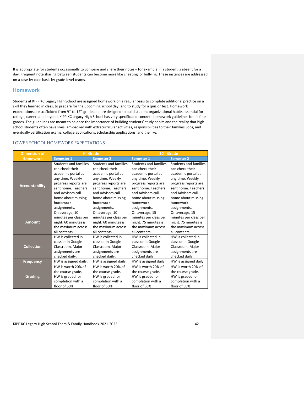It is appropriate for students occasionally to compare and share their notes – for example, if a student is absent for a day. Frequent note sharing between students can become more like cheating, or bullying. These instances are addressed on a case-by-case basis by grade-level teams.

### <span id="page-41-0"></span>**Homework**

Students at KIPP KC Legacy High School are assigned homework on a regular basis to complete additional practice on a skill they learned in class, to prepare for the upcoming school day, and to study for a quiz or test. Homework expectations are scaffolded from 9<sup>th</sup> to 12<sup>th</sup> grade and are designed to build student organizational habits essential for college, career, and beyond. KIPP KC Legacy High School has very specific and concrete homework guidelines for all four grades. The guidelines are meant to balance the importance of building students' study habits and the reality that high school students often have lives jam-packed with extracurricular activities, responsibilities to their families, jobs, and eventually certification exams, college applications, scholarship applications, and the like.

### LOWER SCHOOL HOMEWORK EXPECTATIONS

| <b>Dimension of</b>   |                       | 9 <sup>th</sup> Grade | 10 <sup>th</sup> Grade |                       |
|-----------------------|-----------------------|-----------------------|------------------------|-----------------------|
| <b>Homework</b>       | Semester 1            | <b>Semester 2</b>     | <b>Semester 1</b>      | <b>Semester 2</b>     |
| <b>Accountability</b> | Students and families | Students and families | Students and families  | Students and families |
|                       | can check their       | can check their       | can check their        | can check their       |
|                       | academic portal at    | academic portal at    | academic portal at     | academic portal at    |
|                       | any time. Weekly      | any time. Weekly      | any time. Weekly       | any time. Weekly      |
|                       | progress reports are  | progress reports are  | progress reports are   | progress reports are  |
|                       | sent home. Teachers   | sent home. Teachers   | sent home. Teachers    | sent home. Teachers   |
|                       | and Advisors call     | and Advisors call     | and Advisors call      | and Advisors call     |
|                       | home about missing    | home about missing    | home about missing     | home about missing    |
|                       | homework              | homework              | homework               | homework              |
|                       | assignments.          | assignments.          | assignments.           | assignments.          |
| <b>Amount</b>         | On average, 10        | On average, 10        | On average, 15         | On average, 15        |
|                       | minutes per class per | minutes per class per | minutes per class per  | minutes per class per |
|                       | night. 60 minutes is  | night. 60 minutes is  | night. 75 minutes is   | night. 75 minutes is  |
|                       | the maximum across    | the maximum across    | the maximum across     | the maximum across    |
|                       | all contents.         | all contents.         | all contents.          | all contents.         |
| <b>Collection</b>     | HW is collected in    | HW is collected in    | HW is collected in     | HW is collected in    |
|                       | class or in Google    | class or in Google    | class or in Google     | class or in Google    |
|                       | Classroom. Major      | Classroom. Major      | Classroom. Major       | Classroom. Major      |
|                       | assignments are       | assignments are       | assignments are        | assignments are       |
|                       | checked daily.        | checked daily.        | checked daily.         | checked daily.        |
| <b>Frequency</b>      | HW is assigned daily. | HW is assigned daily. | HW is assigned daily.  | HW is assigned daily. |
| <b>Grading</b>        | HW is worth 20% of    | HW is worth 20% of    | HW is worth 20% of     | HW is worth 20% of    |
|                       | the course grade.     | the course grade.     | the course grade.      | the course grade.     |
|                       | HW is graded for      | HW is graded for      | HW is graded for       | HW is graded for      |
|                       | completion with a     | completion with a     | completion with a      | completion with a     |
|                       | floor of 50%.         | floor of 50%.         | floor of 50%.          | floor of 50%.         |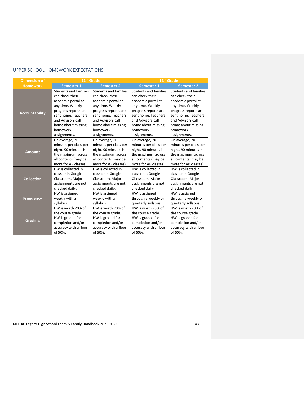## UPPER SCHOOL HOMEWORK EXPECTATIONS

| <b>Dimension of</b>   |                              | 11 <sup>th</sup> Grade       |                              | 12 <sup>th</sup> Grade       |
|-----------------------|------------------------------|------------------------------|------------------------------|------------------------------|
| <b>Homework</b>       | <b>Semester 1</b>            | <b>Semester 2</b>            | <b>Semester 1</b>            | <b>Semester 2</b>            |
|                       | <b>Students and families</b> | <b>Students and families</b> | <b>Students and families</b> | <b>Students and families</b> |
|                       | can check their              | can check their              | can check their              | can check their              |
| <b>Accountability</b> | academic portal at           | academic portal at           | academic portal at           | academic portal at           |
|                       | any time. Weekly             | any time. Weekly             | any time. Weekly             | any time. Weekly             |
|                       | progress reports are         | progress reports are         | progress reports are         | progress reports are         |
|                       | sent home. Teachers          | sent home. Teachers          | sent home. Teachers          | sent home. Teachers          |
|                       | and Advisors call            | and Advisors call            | and Advisors call            | and Advisors call            |
|                       | home about missing           | home about missing           | home about missing           | home about missing           |
|                       | homework                     | homework                     | homework                     | homework                     |
|                       | assignments.                 | assignments.                 | assignments.                 | assignments.                 |
| <b>Amount</b>         | On average, 20               | On average, 20               | On average, 20               | On average, 20               |
|                       | minutes per class per        | minutes per class per        | minutes per class per        | minutes per class per        |
|                       | night. 90 minutes is         | night. 90 minutes is         | night. 90 minutes is         | night. 90 minutes is         |
|                       | the maximum across           | the maximum across           | the maximum across           | the maximum across           |
|                       | all contents (may be         | all contents (may be         | all contents (may be         | all contents (may be         |
|                       | more for AP classes).        | more for AP classes).        | more for AP classes).        | more for AP classes).        |
| <b>Collection</b>     | HW is collected in           | HW is collected in           | HW is collected in           | HW is collected in           |
|                       | class or in Google           | class or in Google           | class or in Google           | class or in Google           |
|                       | Classroom. Major             | Classroom. Major             | Classroom. Major             | Classroom. Major             |
|                       | assignments are not          | assignments are not          | assignments are not          | assignments are not          |
|                       | checked daily.               | checked daily.               | checked daily.               | checked daily.               |
| <b>Frequency</b>      | HW is assigned               | HW is assigned               | HW is assigned               | HW is assigned               |
|                       | weekly with a                | weekly with a                | through a weekly or          | through a weekly or          |
|                       | syllabus.                    | syllabus.                    | quarterly syllabus.          | quarterly syllabus.          |
| <b>Grading</b>        | HW is worth 20% of           | HW is worth 20% of           | HW is worth 20% of           | HW is worth 20% of           |
|                       | the course grade.            | the course grade.            | the course grade.            | the course grade.            |
|                       | HW is graded for             | HW is graded for             | HW is graded for             | HW is graded for             |
|                       | completion and/or            | completion and/or            | completion and/or            | completion and/or            |
|                       | accuracy with a floor        | accuracy with a floor        | accuracy with a floor        | accuracy with a floor        |
|                       | of 50%.                      | of 50%.                      | of 50%.                      | of 50%.                      |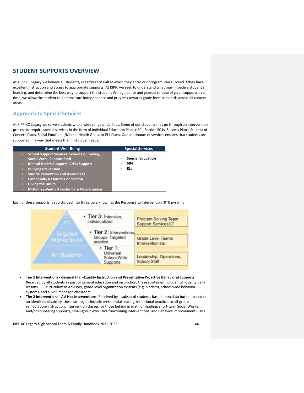## <span id="page-43-0"></span>**STUDENT SUPPORTS OVERVIEW**

At KIPP KC Legacy we believe all students, regardless of skill at which they enter our program, can succeed if they have excellent instruction and access to appropriate supports. At KIPP, we seek to understand what may impede a student's learning, and determine the best way to support the student. With guidance and gradual release of given supports over time, we allow the student to demonstrate independence and progress towards grade level standards across all content areas.

## <span id="page-43-1"></span>**Approach to Special Services**

At KIPP KC Legacy we serve students with a wide range of abilities. Some of our students may go through an intervention process or require special services in the form of Individual Education Plans (IEP), Section 504s, Success Plans, Student of Concern Plans, Social Emotional/Mental Health Goals, or ELL Plans. Our continuum of services ensures that students are supported in a way that meets their individual needs.

| <b>Student Well-Being</b>                                       | <b>Special Services</b>       |
|-----------------------------------------------------------------|-------------------------------|
| <b>School Support Services: School Counseling,</b><br>$\bullet$ |                               |
| <b>Social Work, Support Staff</b>                               | <b>Special Education</b><br>ö |
| <b>Mental Health Supports, Crisis Support</b><br>$\bullet$      | 504                           |
| <b>Bullying Prevention</b><br>$\bullet$                         | <b>ELL</b><br>٥               |
| <b>Suicide Prevention and Awareness</b>                         |                               |
| <b>Community Resource Connection</b><br>$\bullet$               |                               |
| <b>Giving the Basics</b>                                        |                               |
| <b>McKinney-Vento &amp; Foster Care Programming</b>             |                               |

Each of these supports is sub-divided into three tiers known as the Response to Intervention (RTI) pyramid:



- **Tier 1 Interventions - General High-Quality Instruction and Preventative Proactive Behavioral Supports:**  Received by all students as part of general education and instruction, these strategies include high-quality daily lessons, SEL curriculum in Advisory, grade-level organization systems (e.g. binders), school-wide behavior systems, and a well-managed classroom.
- **Tier 2 Interventions - Ad-Hoc Interventions:** Received by a subset of students based upon data but not based on an identified disability, these strategies include preferential seating, intentional practice, small-group remediation/instruction, intervention classes for those behind in math or reading, short-term Social Worker and/or counseling supports, small-group executive functioning interventions, and Behavior Improvement Plans.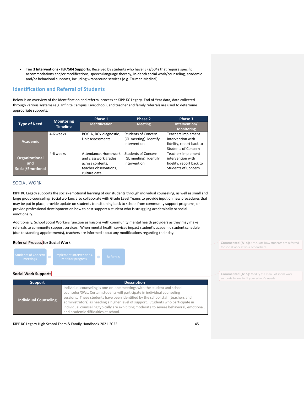• **Tier 3 Interventions - IEP/504 Supports:** Received by students who have IEPs/504s that require specific accommodations and/or modifications, speech/language therapy, in-depth social work/counseling, academic and/or behavioral supports, including wraparound services (e.g. Truman Medical).

## <span id="page-44-0"></span>**Identification and Referral of Students**

Below is an overview of the identification and referral process at KIPP KC Legacy. End of Year data, data collected through various systems (e.g. Infinite Campus, LiveSchool), and teacher and family referrals are used to determine appropriate supports.

|                                                  | <b>Monitoring</b> | Phase 1                                                                                                   | Phase 2                                                              | Phase 3                                                                                           |
|--------------------------------------------------|-------------------|-----------------------------------------------------------------------------------------------------------|----------------------------------------------------------------------|---------------------------------------------------------------------------------------------------|
| <b>Type of Need</b>                              | <b>Timeline</b>   | <b>Identification</b>                                                                                     | <b>Meeting</b>                                                       | Intervention/<br><b>Monitoring</b>                                                                |
| <b>Academic</b>                                  | 4-6 weeks         | BOY IA, BOY diagnostic,<br><b>Unit Assessments</b>                                                        | <b>Students of Concern</b><br>(GL meeting): identify<br>intervention | Teachers implement<br>intervention with<br>fidelity, report back to<br><b>Students of Concern</b> |
| <b>Organizational</b><br>and<br>Social/Emotional | 4-6 weeks         | Attendance, Homework<br>and classwork grades<br>across contents,<br>teacher observations,<br>culture data | <b>Students of Concern</b><br>(GL meeting): identify<br>intervention | Teachers implement<br>intervention with<br>fidelity, report back to<br><b>Students of Concern</b> |

## SOCIAL WORK

KIPP KC Legacy supports the social-emotional learning of our students through individual counseling, as well as small and large group counseling. Social workers also collaborate with Grade Level Teams to provide input on new procedures that may be put in place, provide update on students transitioning back to school from community support programs, or provide professional development on how to best support a student who is struggling academically or social emotionally.

Additionally, School Social Workers function as liaisons with community mental health providers as they may make referrals to community support services. When mental health services impact student's academic student schedule (due to standing appointments), teachers are informed about any modifications regarding their day.

## **Referral Process for Social Work**



#### **Social Work Supports**

| <b>Support</b>               | <b>Description</b>                                                                                                                                                                                                                                                                                                                                                                                                                                                |  |
|------------------------------|-------------------------------------------------------------------------------------------------------------------------------------------------------------------------------------------------------------------------------------------------------------------------------------------------------------------------------------------------------------------------------------------------------------------------------------------------------------------|--|
| <b>Individual Counseling</b> | Individual counseling is one-on-one meetings with the student and school<br>counselor/SWs. Certain students will participate in individual counseling<br>sessions. These students have been identified by the school staff (teachers and<br>administrators) as needing a higher level of support. Students who participate in<br>individual counseling typically are exhibiting moderate to severe behavioral, emotional,<br>and academic difficulties at school. |  |

KIPP KC Legacy High School Team & Family Handbook 2021-2022 45

**Commented [A14]:** Articulate how students are referred for social work at your school here.

**Commented [A15]:** Modify the menu of social work supports below to fit your school's needs.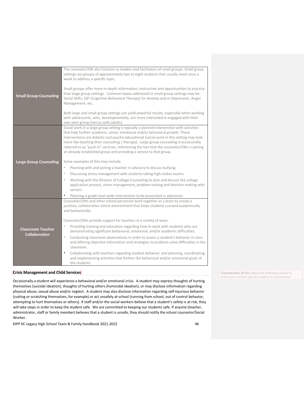|                                                  | The counselor/SW also function as leaders and facilitators of small groups. Small group<br>settings are groups of approximately two to eight students that usually meet once a<br>week to address a specific topic.                                                                                                                                                                                                                                                                                                               |  |
|--------------------------------------------------|-----------------------------------------------------------------------------------------------------------------------------------------------------------------------------------------------------------------------------------------------------------------------------------------------------------------------------------------------------------------------------------------------------------------------------------------------------------------------------------------------------------------------------------|--|
| <b>Small Group Counseling</b>                    | Small groups offer more in-depth information, instruction and opportunities to practice<br>than large group settings. Common topics addressed in small group settings may be:<br>Social Skills, CBT (Cognitive Behavioral Therapy) for Anxiety and or Depression, Anger<br>Management, etc.                                                                                                                                                                                                                                       |  |
|                                                  | Both large and small group settings can yield powerful results, especially when working<br>with adolescents, who, developmentally, are more interested in engaged with their<br>own peer group (versus with adults).                                                                                                                                                                                                                                                                                                              |  |
|                                                  | Social work in a large group setting is typically a planned intervention with activities<br>that help further academic, social, emotional and/or behavioral growth. These<br>interventions are didactic and psycho-educational (social work in this setting may look<br>more like teaching than counseling / therapy). Large group counseling is occasionally<br>referred to as "push-in" services, referencing the fact that the counselor/SWs is joining<br>an already established group and providing a service to that group. |  |
| <b>Large Group Counseling</b>                    | Some examples of this may include:<br>$\circ$<br>Planning with and joining a teacher in advisory to discuss bullying<br>Discussing stress management with students taking high-stakes exams<br>Working with the Director of College Counseling to plan and discuss the college<br>$\circ$                                                                                                                                                                                                                                         |  |
|                                                  | application process, stress management, problem-solving and decision making with<br>seniors<br>Planning a grade-level wide intervention to be presented in advisories                                                                                                                                                                                                                                                                                                                                                             |  |
|                                                  | Counselor/SWs and other school personnel work together as a team to create a<br>positive, collaborative school environment that helps students succeed academically<br>and behaviorally.                                                                                                                                                                                                                                                                                                                                          |  |
|                                                  | Counselor/SWs provide support for teachers in a variety of ways:                                                                                                                                                                                                                                                                                                                                                                                                                                                                  |  |
| <b>Classroom Teacher</b><br><b>Collaboration</b> | Providing training and education regarding how to work with students who are<br>demonstrating significant behavioral, emotional, and/or academic difficulties.                                                                                                                                                                                                                                                                                                                                                                    |  |
|                                                  | $\circ$<br>Conducting classroom observations in order to assess a student's behavior in class<br>and offering objective information and strategies to problem-solve difficulties in the<br>classroom.                                                                                                                                                                                                                                                                                                                             |  |
|                                                  | Collaborating with teachers regarding student behavior; and planning, coordinating,<br>and implementing activities that further the behavioral and/or emotional goals of<br>the students.                                                                                                                                                                                                                                                                                                                                         |  |

#### **Crisis Management and Child Services**

Occasionally a student will experience a behavioral and/or emotional crisis. A student may express thoughts of hurting themselves (suicidal ideation), thoughts of hurting others (homicidal ideation), or may disclose information regarding physical abuse, sexual abuse and/or neglect. A student may also disclose information regarding self-injurious behavior (cutting or scratching themselves, for example) or act unsafely at school (running from school, out of control behavior, attempting to hurt themselves or others). If staff and/or the social workers believe that a student's safety is at risk, they will take steps in order to keep the student safe. We are committed to keeping our students safe. If anyone (teacher, administrator, staff or family member) believes that a student is unsafe, they should notify the school counselor/Social Worker.

KIPP KC Legacy High School Team & Family Handbook 2021-2022 46

**Commented [A16]:** Adjust the boilerplate below to match your school's specific student-in-crisis process.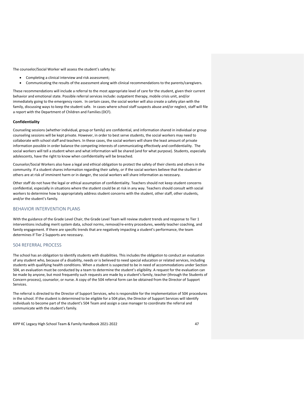The counselor/Social Worker will assess the student's safety by:

- Completing a clinical interview and risk assessment;
- Communicating the results of the assessment along with clinical recommendations to the parents/caregivers.

These recommendations will include a referral to the most appropriate level of care for the student, given their current behavior and emotional state. Possible referral services include: outpatient therapy, mobile crisis unit, and/or immediately going to the emergency room. In certain cases, the social worker will also create a safety plan with the family, discussing ways to keep the student safe. In cases where school staff suspects abuse and/or neglect, staff will file a report with the Department of Children and Families (DCF).

#### **Confidentiality**

Counseling sessions (whether individual, group or family) are confidential, and information shared in individual or group counseling sessions will be kept private. However, in order to best serve students, the social workers may need to collaborate with school staff and teachers. In these cases, the social workers will share the least amount of private information possible in order balance the competing interests of communicating effectively and confidentiality. The social workers will tell a student when and what information will be shared (and for what purpose). Students, especially adolescents, have the right to know when confidentiality will be breached.

Counselor/Social Workers also have a legal and ethical obligation to protect the safety of their clients and others in the community. If a student shares information regarding their safety, or if the social workers believe that the student or others are at risk of imminent harm or in danger, the social workers will share information as necessary.

Other staff do not have the legal or ethical assumption of confidentiality. Teachers should not keep student concerns confidential, especially in situations where the student could be at risk in any way. Teachers should consult with social workers to determine how to appropriately address student concerns with the student, other staff, other students, and/or the student's family.

### BEHAVIOR INTERVENTION PLANS

With the guidance of the Grade Level Chair, the Grade Level Team will review student trends and response to Tier 1 interventions including merit system data, school norms, removal/re-entry procedures, weekly teacher coaching, and family engagement. If there are specific trends that are negatively impacting a student's performance, the team determines if Tier 2 Supports are necessary.

### 504 REFERRAL PROCESS

The school has an obligation to identify students with disabilities. This includes the obligation to conduct an evaluation of any student who, because of a disability, needs or is believed to need special education or related services, including students with qualifying health conditions. When a student is suspected to be in need of accommodations under Section 504, an evaluation must be conducted by a team to determine the student's eligibility. A request for the evaluation can be made by anyone, but most frequently such requests are made by a student's family, teacher (through the Students of Concern process), counselor, or nurse. A copy of the 504 referral form can be obtained from the Director of Support Services.

The referral is directed to the Director of Support Services, who is responsible for the implementation of 504 procedures in the school. If the student is determined to be eligible for a 504 plan, the Director of Support Services will identify individuals to become part of the student's 504 Team and assign a case manager to coordinate the referral and communicate with the student's family.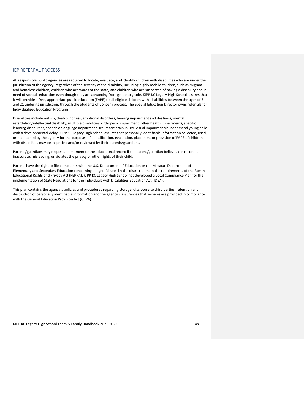### IEP REFERRAL PROCESS

All responsible public agencies are required to locate, evaluate, and identify children with disabilities who are under the jurisdiction of the agency, regardless of the severity of the disability, including highly mobile children, such as migrant and homeless children, children who are wards of the state, and children who are suspected of having a disability and in need of special education even though they are advancing from grade to grade. KIPP KC Legacy High School assures that it will provide a free, appropriate public education (FAPE) to all eligible children with disabilities between the ages of 3 and 21 under its jurisdiction, through the Students of Concern process. The Special Education Director owns referrals for Individualized Education Programs.

Disabilities include autism, deaf/blindness, emotional disorders, hearing impairment and deafness, mental retardation/intellectual disability, multiple disabilities, orthopedic impairment, other health impairments, specific learning disabilities, speech or language impairment, traumatic brain injury, visual impairment/blindnessand young child with a developmental delay. KIPP KC Legacy High School assures that personally identifiable information collected, used, or maintained by the agency for the purposes of identification, evaluation, placement or provision of FAPE of children with disabilities may be inspected and/or reviewed by their parents/guardians.

Parents/guardians may request amendment to the educational record if the parent/guardian believes the record is inaccurate, misleading, or violates the privacy or other rights of their child.

Parents have the right to file complaints with the U.S. Department of Education or the Missouri Department of Elementary and Secondary Education concerning alleged failures by the district to meet the requirements of the Family Educational Rights and Privacy Act (FERPA). KIPP KC Legacy High School has developed a Local Compliance Plan for the implementation of State Regulations for the Individuals with Disabilities Education Act (IDEA).

This plan contains the agency's policies and procedures regarding storage, disclosure to third parties, retention and destruction of personally identifiable information and the agency's assurances that services are provided in compliance with the General Education Provision Act (GEPA).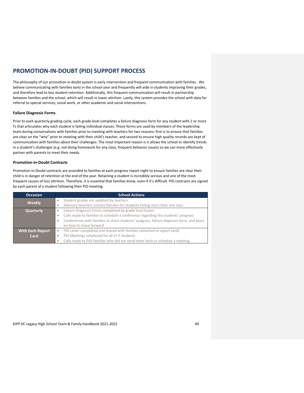## <span id="page-48-0"></span>**PROMOTION-IN-DOUBT (PID) SUPPORT PROCESS**

The philosophy of our promotion in doubt system is early intervention and frequent communication with families. We believe communicating with families early in the school year and frequently will aide in students improving their grades, and therefore lead to less student retention. Additionally, this frequent communication will result in partnership between families and the school, which will result in lower attrition. Lastly, this system provides the school with data for referral to special services, social work, or other academic and social interventions.

#### **Failure Diagnosis Forms**

Prior to each quarterly grading cycle, each grade level completes a failure diagnosis form for any student with 2 or more Fs that articulates why each student is failing individual classes. These forms are used by members of the leadership team during conversations with families prior to meeting with teachers for two reasons: first is to ensure that families are clear on the "why" prior to meeting with their child's teacher, and second to ensure high quality records are kept of communication with families about their challenges. The most important reason is it allows the school to identify trends in a student's challenges (e.g. not doing homework for any class, frequent behavior issues) so we can more effectively partner with parents to meet their needs.

#### **Promotion-in-Doubt Contracts**

Promotion-in-Doubt contracts are provided to families at each progress report night to ensure families are clear their child is in danger of retention at the end of the year. Retaining a student is incredibly serious and one of the most frequent causes of loss attrition. Therefore, it is essential that families know, even if it's difficult. PID contracts are signed by each parent of a student following their PID meeting.

| <b>Occasion</b>         | <b>School Actions</b>                                                                                                              |  |
|-------------------------|------------------------------------------------------------------------------------------------------------------------------------|--|
| <b>Weekly</b>           | Student grades are updated by teachers<br>۰                                                                                        |  |
|                         | Advisory teachers contact families for students failing more than one class<br>۰                                                   |  |
| Quarterly               | Failure Diagnosis Forms completed by grade level teams<br>۰                                                                        |  |
|                         | Calls made to families to schedule a conference regarding the students' progress<br>۰                                              |  |
|                         | Conferences with families to share students' progress, failure diagnosis form, and plans<br>۰                                      |  |
|                         | on how to move forward                                                                                                             |  |
| <b>With Each Report</b> | PID Letter completed and shared with families (attached to report card)<br>۰                                                       |  |
| Card                    | PID Meetings scheduled for all 2+ F students<br>۰<br>Calls made to PID Families who did not send letter back or schedule a meeting |  |
|                         |                                                                                                                                    |  |